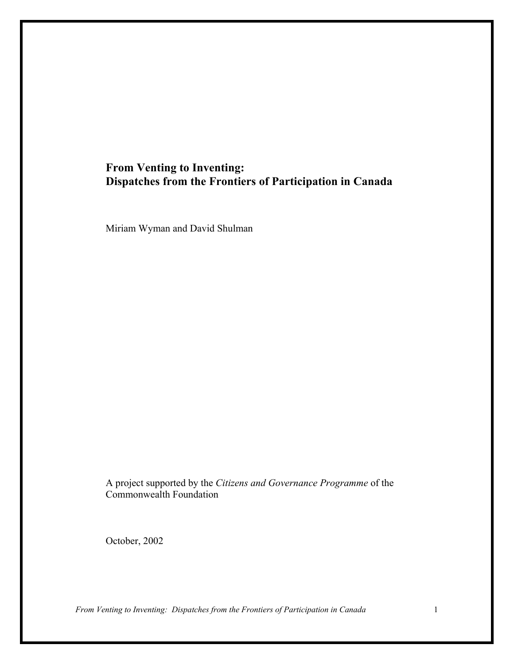# **From Venting to Inventing: Dispatches from the Frontiers of Participation in Canada**

Miriam Wyman and David Shulman

A project supported by the *Citizens and Governance Programme* of the Commonwealth Foundation

October, 2002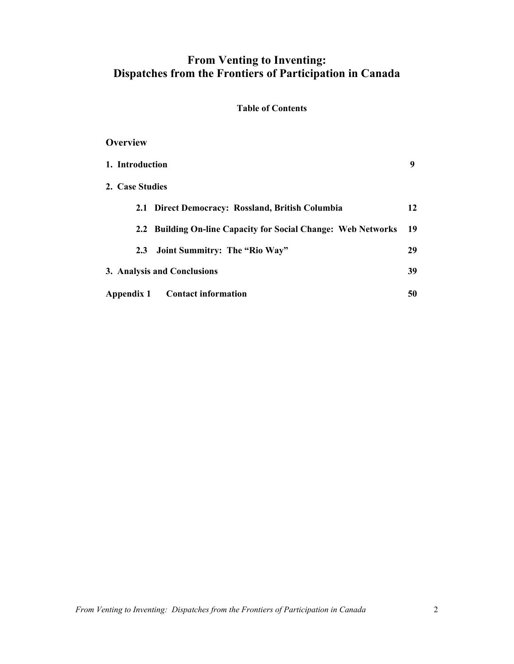# **From Venting to Inventing: Dispatches from the Frontiers of Participation in Canada**

### **Table of Contents**

## **Overview**

| 1. Introduction                                                         | 9  |
|-------------------------------------------------------------------------|----|
| 2. Case Studies                                                         |    |
| 2.1 Direct Democracy: Rossland, British Columbia                        | 12 |
| <b>Building On-line Capacity for Social Change: Web Networks</b><br>2.2 | 19 |
| Joint Summitry: The "Rio Way"<br>2.3                                    | 29 |
| 3. Analysis and Conclusions                                             | 39 |
| Appendix 1<br><b>Contact information</b>                                | 50 |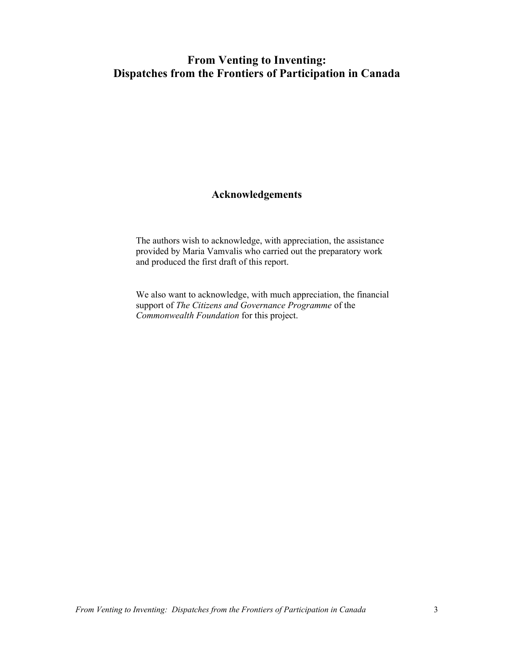# **From Venting to Inventing: Dispatches from the Frontiers of Participation in Canada**

## **Acknowledgements**

The authors wish to acknowledge, with appreciation, the assistance provided by Maria Vamvalis who carried out the preparatory work and produced the first draft of this report.

We also want to acknowledge, with much appreciation, the financial support of *The Citizens and Governance Programme* of the *Commonwealth Foundation* for this project.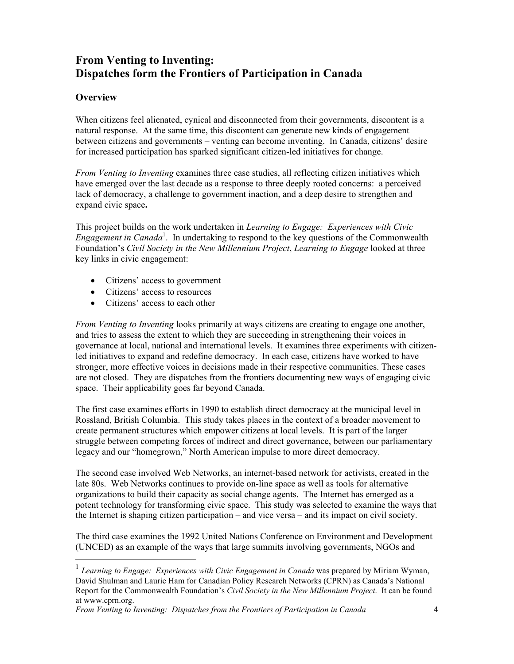# **From Venting to Inventing: Dispatches form the Frontiers of Participation in Canada**

## **Overview**

 $\overline{a}$ 

When citizens feel alienated, cynical and disconnected from their governments, discontent is a natural response. At the same time, this discontent can generate new kinds of engagement between citizens and governments – venting can become inventing. In Canada, citizens' desire for increased participation has sparked significant citizen-led initiatives for change.

*From Venting to Inventing* examines three case studies, all reflecting citizen initiatives which have emerged over the last decade as a response to three deeply rooted concerns: a perceived lack of democracy, a challenge to government inaction, and a deep desire to strengthen and expand civic space**.** 

This project builds on the work undertaken in *Learning to Engage: Experiences with Civic*  Engagement in Canada<sup>1</sup>. In undertaking to respond to the key questions of the Commonwealth Foundation's *Civil Society in the New Millennium Project*, *Learning to Engage* looked at three key links in civic engagement:

- Citizens' access to government
- Citizens' access to resources
- Citizens' access to each other

*From Venting to Inventing* looks primarily at ways citizens are creating to engage one another, and tries to assess the extent to which they are succeeding in strengthening their voices in governance at local, national and international levels. It examines three experiments with citizenled initiatives to expand and redefine democracy. In each case, citizens have worked to have stronger, more effective voices in decisions made in their respective communities. These cases are not closed. They are dispatches from the frontiers documenting new ways of engaging civic space. Their applicability goes far beyond Canada.

The first case examines efforts in 1990 to establish direct democracy at the municipal level in Rossland, British Columbia. This study takes places in the context of a broader movement to create permanent structures which empower citizens at local levels. It is part of the larger struggle between competing forces of indirect and direct governance, between our parliamentary legacy and our "homegrown," North American impulse to more direct democracy.

The second case involved Web Networks, an internet-based network for activists, created in the late 80s. Web Networks continues to provide on-line space as well as tools for alternative organizations to build their capacity as social change agents. The Internet has emerged as a potent technology for transforming civic space. This study was selected to examine the ways that the Internet is shaping citizen participation – and vice versa – and its impact on civil society.

The third case examines the 1992 United Nations Conference on Environment and Development (UNCED) as an example of the ways that large summits involving governments, NGOs and

<sup>&</sup>lt;sup>1</sup> Learning to Engage: Experiences with Civic Engagement in Canada was prepared by Miriam Wyman, David Shulman and Laurie Ham for Canadian Policy Research Networks (CPRN) as Canada's National Report for the Commonwealth Foundation's *Civil Society in the New Millennium Project*. It can be found at www.cprn.org.

*From Venting to Inventing: Dispatches from the Frontiers of Participation in Canada* 4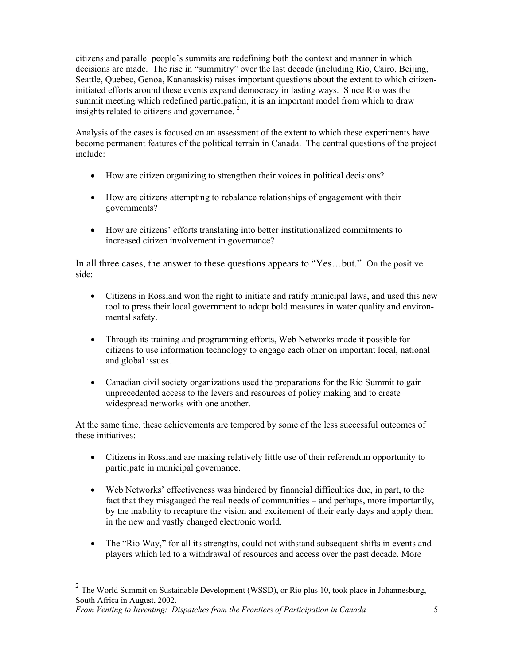citizens and parallel people's summits are redefining both the context and manner in which decisions are made. The rise in "summitry" over the last decade (including Rio, Cairo, Beijing, Seattle, Quebec, Genoa, Kananaskis) raises important questions about the extent to which citizeninitiated efforts around these events expand democracy in lasting ways. Since Rio was the summit meeting which redefined participation, it is an important model from which to draw insights related to citizens and governance.<sup>2</sup>

Analysis of the cases is focused on an assessment of the extent to which these experiments have become permanent features of the political terrain in Canada. The central questions of the project include:

- How are citizen organizing to strengthen their voices in political decisions?
- How are citizens attempting to rebalance relationships of engagement with their governments?
- How are citizens' efforts translating into better institutionalized commitments to increased citizen involvement in governance?

In all three cases, the answer to these questions appears to "Yes…but." On the positive side:

- Citizens in Rossland won the right to initiate and ratify municipal laws, and used this new tool to press their local government to adopt bold measures in water quality and environmental safety.
- Through its training and programming efforts, Web Networks made it possible for citizens to use information technology to engage each other on important local, national and global issues.
- Canadian civil society organizations used the preparations for the Rio Summit to gain unprecedented access to the levers and resources of policy making and to create widespread networks with one another.

At the same time, these achievements are tempered by some of the less successful outcomes of these initiatives:

- Citizens in Rossland are making relatively little use of their referendum opportunity to participate in municipal governance.
- Web Networks' effectiveness was hindered by financial difficulties due, in part, to the fact that they misgauged the real needs of communities – and perhaps, more importantly, by the inability to recapture the vision and excitement of their early days and apply them in the new and vastly changed electronic world.
- The "Rio Way," for all its strengths, could not withstand subsequent shifts in events and players which led to a withdrawal of resources and access over the past decade. More

*From Venting to Inventing: Dispatches from the Frontiers of Participation in Canada* 5

 $2^2$  The World Summit on Sustainable Development (WSSD), or Rio plus 10, took place in Johannesburg, South Africa in August, 2002.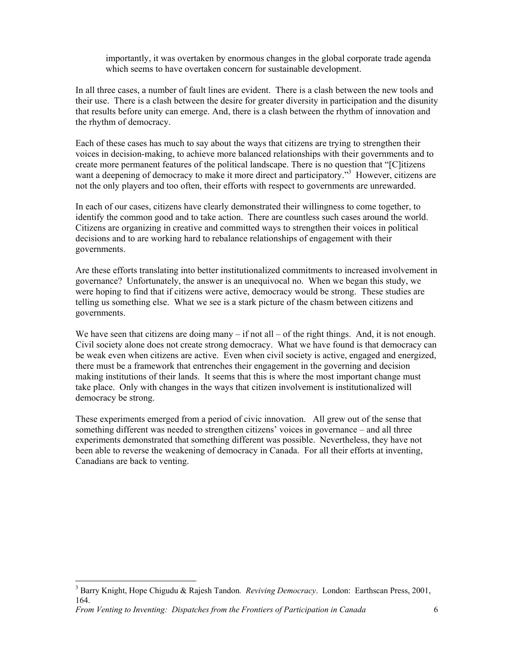importantly, it was overtaken by enormous changes in the global corporate trade agenda which seems to have overtaken concern for sustainable development.

In all three cases, a number of fault lines are evident. There is a clash between the new tools and their use. There is a clash between the desire for greater diversity in participation and the disunity that results before unity can emerge. And, there is a clash between the rhythm of innovation and the rhythm of democracy.

Each of these cases has much to say about the ways that citizens are trying to strengthen their voices in decision-making, to achieve more balanced relationships with their governments and to create more permanent features of the political landscape. There is no question that "[C]itizens want a deepening of democracy to make it more direct and participatory."<sup>3</sup> However, citizens are not the only players and too often, their efforts with respect to governments are unrewarded.

In each of our cases, citizens have clearly demonstrated their willingness to come together, to identify the common good and to take action. There are countless such cases around the world. Citizens are organizing in creative and committed ways to strengthen their voices in political decisions and to are working hard to rebalance relationships of engagement with their governments.

Are these efforts translating into better institutionalized commitments to increased involvement in governance? Unfortunately, the answer is an unequivocal no. When we began this study, we were hoping to find that if citizens were active, democracy would be strong. These studies are telling us something else. What we see is a stark picture of the chasm between citizens and governments.

We have seen that citizens are doing many  $-$  if not all  $-$  of the right things. And, it is not enough. Civil society alone does not create strong democracy. What we have found is that democracy can be weak even when citizens are active. Even when civil society is active, engaged and energized, there must be a framework that entrenches their engagement in the governing and decision making institutions of their lands. It seems that this is where the most important change must take place. Only with changes in the ways that citizen involvement is institutionalized will democracy be strong.

These experiments emerged from a period of civic innovation. All grew out of the sense that something different was needed to strengthen citizens' voices in governance – and all three experiments demonstrated that something different was possible. Nevertheless, they have not been able to reverse the weakening of democracy in Canada. For all their efforts at inventing, Canadians are back to venting.

*From Venting to Inventing: Dispatches from the Frontiers of Participation in Canada* 6

<sup>3</sup> Barry Knight, Hope Chigudu & Rajesh Tandon*. Reviving Democracy*. London: Earthscan Press, 2001, 164.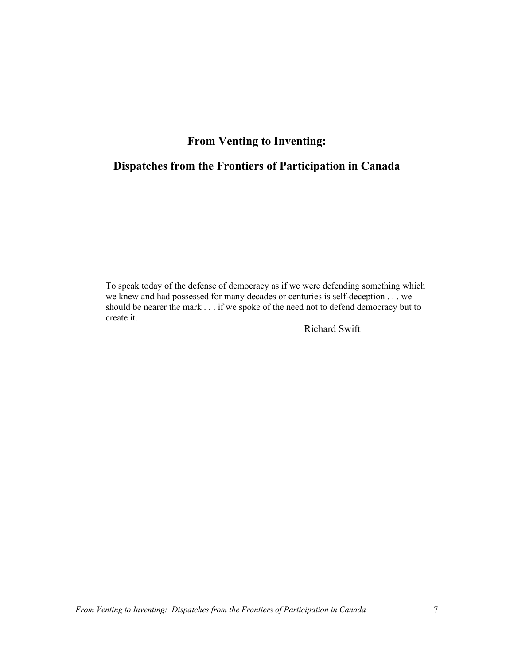# **From Venting to Inventing:**

# **Dispatches from the Frontiers of Participation in Canada**

To speak today of the defense of democracy as if we were defending something which we knew and had possessed for many decades or centuries is self-deception . . . we should be nearer the mark . . . if we spoke of the need not to defend democracy but to create it.

Richard Swift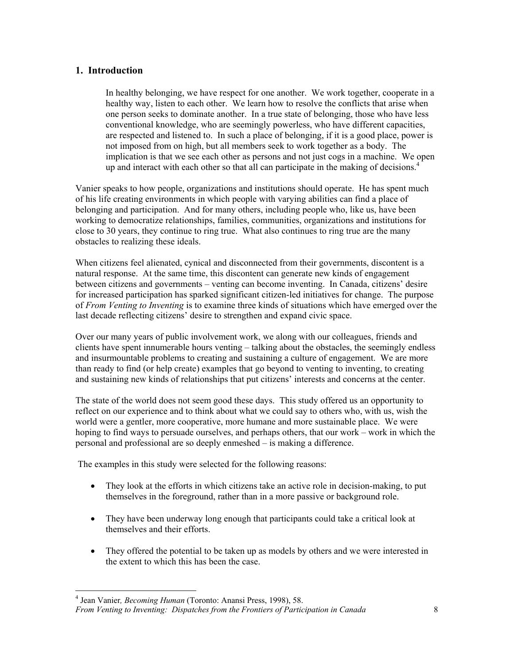## **1. Introduction**

In healthy belonging, we have respect for one another. We work together, cooperate in a healthy way, listen to each other. We learn how to resolve the conflicts that arise when one person seeks to dominate another. In a true state of belonging, those who have less conventional knowledge, who are seemingly powerless, who have different capacities, are respected and listened to. In such a place of belonging, if it is a good place, power is not imposed from on high, but all members seek to work together as a body. The implication is that we see each other as persons and not just cogs in a machine. We open up and interact with each other so that all can participate in the making of decisions.<sup>4</sup>

Vanier speaks to how people, organizations and institutions should operate. He has spent much of his life creating environments in which people with varying abilities can find a place of belonging and participation. And for many others, including people who, like us, have been working to democratize relationships, families, communities, organizations and institutions for close to 30 years, they continue to ring true. What also continues to ring true are the many obstacles to realizing these ideals.

When citizens feel alienated, cynical and disconnected from their governments, discontent is a natural response. At the same time, this discontent can generate new kinds of engagement between citizens and governments – venting can become inventing. In Canada, citizens' desire for increased participation has sparked significant citizen-led initiatives for change. The purpose of *From Venting to Inventing* is to examine three kinds of situations which have emerged over the last decade reflecting citizens' desire to strengthen and expand civic space.

Over our many years of public involvement work, we along with our colleagues, friends and clients have spent innumerable hours venting – talking about the obstacles, the seemingly endless and insurmountable problems to creating and sustaining a culture of engagement. We are more than ready to find (or help create) examples that go beyond to venting to inventing, to creating and sustaining new kinds of relationships that put citizens' interests and concerns at the center.

The state of the world does not seem good these days. This study offered us an opportunity to reflect on our experience and to think about what we could say to others who, with us, wish the world were a gentler, more cooperative, more humane and more sustainable place. We were hoping to find ways to persuade ourselves, and perhaps others, that our work – work in which the personal and professional are so deeply enmeshed – is making a difference.

The examples in this study were selected for the following reasons:

- They look at the efforts in which citizens take an active role in decision-making, to put themselves in the foreground, rather than in a more passive or background role.
- They have been underway long enough that participants could take a critical look at themselves and their efforts.
- They offered the potential to be taken up as models by others and we were interested in the extent to which this has been the case.

<sup>4</sup> Jean Vanier*, Becoming Human* (Toronto: Anansi Press, 1998), 58.

*From Venting to Inventing: Dispatches from the Frontiers of Participation in Canada* 8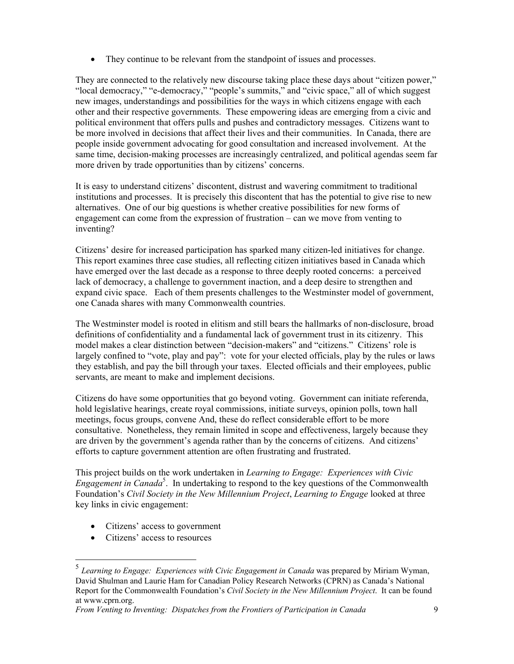• They continue to be relevant from the standpoint of issues and processes.

They are connected to the relatively new discourse taking place these days about "citizen power," "local democracy," "e-democracy," "people's summits," and "civic space," all of which suggest new images, understandings and possibilities for the ways in which citizens engage with each other and their respective governments. These empowering ideas are emerging from a civic and political environment that offers pulls and pushes and contradictory messages. Citizens want to be more involved in decisions that affect their lives and their communities. In Canada, there are people inside government advocating for good consultation and increased involvement. At the same time, decision-making processes are increasingly centralized, and political agendas seem far more driven by trade opportunities than by citizens' concerns.

It is easy to understand citizens' discontent, distrust and wavering commitment to traditional institutions and processes. It is precisely this discontent that has the potential to give rise to new alternatives. One of our big questions is whether creative possibilities for new forms of engagement can come from the expression of frustration – can we move from venting to inventing?

Citizens' desire for increased participation has sparked many citizen-led initiatives for change. This report examines three case studies, all reflecting citizen initiatives based in Canada which have emerged over the last decade as a response to three deeply rooted concerns: a perceived lack of democracy, a challenge to government inaction, and a deep desire to strengthen and expand civic space. Each of them presents challenges to the Westminster model of government, one Canada shares with many Commonwealth countries.

The Westminster model is rooted in elitism and still bears the hallmarks of non-disclosure, broad definitions of confidentiality and a fundamental lack of government trust in its citizenry. This model makes a clear distinction between "decision-makers" and "citizens." Citizens' role is largely confined to "vote, play and pay": vote for your elected officials, play by the rules or laws they establish, and pay the bill through your taxes. Elected officials and their employees, public servants, are meant to make and implement decisions.

Citizens do have some opportunities that go beyond voting. Government can initiate referenda, hold legislative hearings, create royal commissions, initiate surveys, opinion polls, town hall meetings, focus groups, convene And, these do reflect considerable effort to be more consultative. Nonetheless, they remain limited in scope and effectiveness, largely because they are driven by the government's agenda rather than by the concerns of citizens. And citizens' efforts to capture government attention are often frustrating and frustrated.

This project builds on the work undertaken in *Learning to Engage: Experiences with Civic Engagement in Canada*<sup>5</sup>. In undertaking to respond to the key questions of the Commonwealth Foundation's *Civil Society in the New Millennium Project*, *Learning to Engage* looked at three key links in civic engagement:

- Citizens' access to government
- Citizens' access to resources

<sup>5</sup> *Learning to Engage: Experiences with Civic Engagement in Canada* was prepared by Miriam Wyman, David Shulman and Laurie Ham for Canadian Policy Research Networks (CPRN) as Canada's National Report for the Commonwealth Foundation's *Civil Society in the New Millennium Project*. It can be found at www.cprn.org.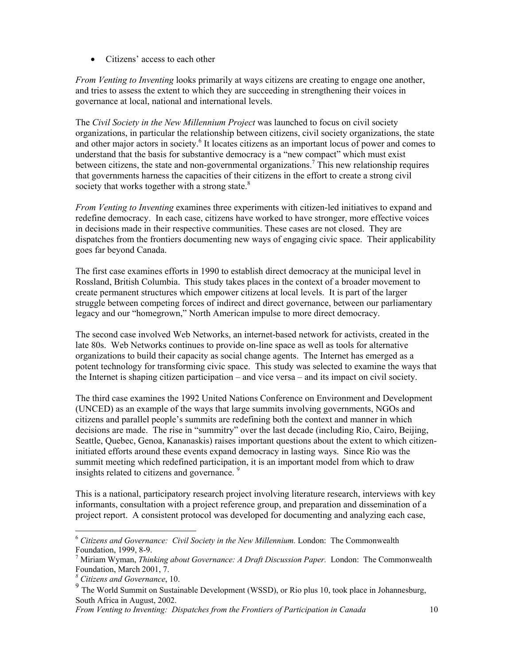• Citizens' access to each other

*From Venting to Inventing* looks primarily at ways citizens are creating to engage one another, and tries to assess the extent to which they are succeeding in strengthening their voices in governance at local, national and international levels.

The *Civil Society in the New Millennium Project* was launched to focus on civil society organizations, in particular the relationship between citizens, civil society organizations, the state and other major actors in society.<sup>6</sup> It locates citizens as an important locus of power and comes to understand that the basis for substantive democracy is a "new compact" which must exist between citizens, the state and non-governmental organizations.<sup>7</sup> This new relationship requires that governments harness the capacities of their citizens in the effort to create a strong civil society that works together with a strong state. $8$ 

*From Venting to Inventing* examines three experiments with citizen-led initiatives to expand and redefine democracy. In each case, citizens have worked to have stronger, more effective voices in decisions made in their respective communities. These cases are not closed. They are dispatches from the frontiers documenting new ways of engaging civic space. Their applicability goes far beyond Canada.

The first case examines efforts in 1990 to establish direct democracy at the municipal level in Rossland, British Columbia. This study takes places in the context of a broader movement to create permanent structures which empower citizens at local levels. It is part of the larger struggle between competing forces of indirect and direct governance, between our parliamentary legacy and our "homegrown," North American impulse to more direct democracy.

The second case involved Web Networks, an internet-based network for activists, created in the late 80s. Web Networks continues to provide on-line space as well as tools for alternative organizations to build their capacity as social change agents. The Internet has emerged as a potent technology for transforming civic space. This study was selected to examine the ways that the Internet is shaping citizen participation – and vice versa – and its impact on civil society.

The third case examines the 1992 United Nations Conference on Environment and Development (UNCED) as an example of the ways that large summits involving governments, NGOs and citizens and parallel people's summits are redefining both the context and manner in which decisions are made. The rise in "summitry" over the last decade (including Rio, Cairo, Beijing, Seattle, Quebec, Genoa, Kananaskis) raises important questions about the extent to which citizeninitiated efforts around these events expand democracy in lasting ways. Since Rio was the summit meeting which redefined participation, it is an important model from which to draw insights related to citizens and governance.<sup>9</sup>

This is a national, participatory research project involving literature research, interviews with key informants, consultation with a project reference group, and preparation and dissemination of a project report. A consistent protocol was developed for documenting and analyzing each case,

<sup>6</sup> *Citizens and Governance: Civil Society in the New Millennium.* London: The Commonwealth Foundation, 1999, 8-9.

<sup>7</sup> Miriam Wyman, *Thinking about Governance: A Draft Discussion Paper.* London: The Commonwealth Foundation, March 2001, 7.

*<sup>8</sup> Citizens and Governance*, 10.

<sup>&</sup>lt;sup>9</sup> The World Summit on Sustainable Development (WSSD), or Rio plus 10, took place in Johannesburg, South Africa in August, 2002.

*From Venting to Inventing: Dispatches from the Frontiers of Participation in Canada* 10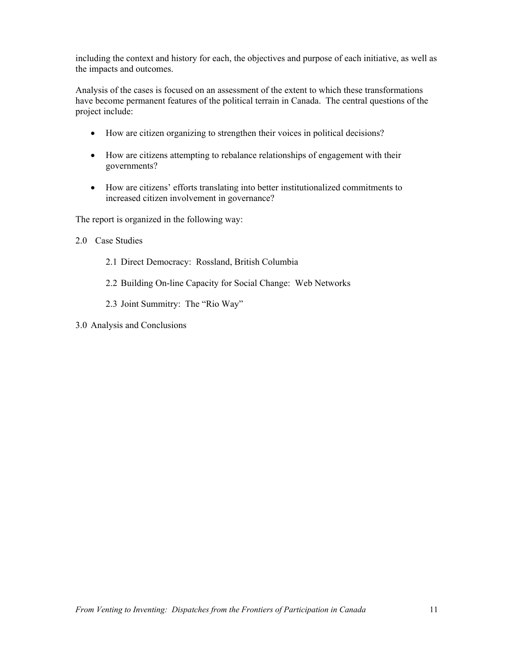including the context and history for each, the objectives and purpose of each initiative, as well as the impacts and outcomes.

Analysis of the cases is focused on an assessment of the extent to which these transformations have become permanent features of the political terrain in Canada. The central questions of the project include:

- How are citizen organizing to strengthen their voices in political decisions?
- How are citizens attempting to rebalance relationships of engagement with their governments?
- How are citizens' efforts translating into better institutionalized commitments to increased citizen involvement in governance?

The report is organized in the following way:

- 2.0 Case Studies
	- 2.1 Direct Democracy: Rossland, British Columbia
	- 2.2 Building On-line Capacity for Social Change: Web Networks
	- 2.3 Joint Summitry: The "Rio Way"
- 3.0 Analysis and Conclusions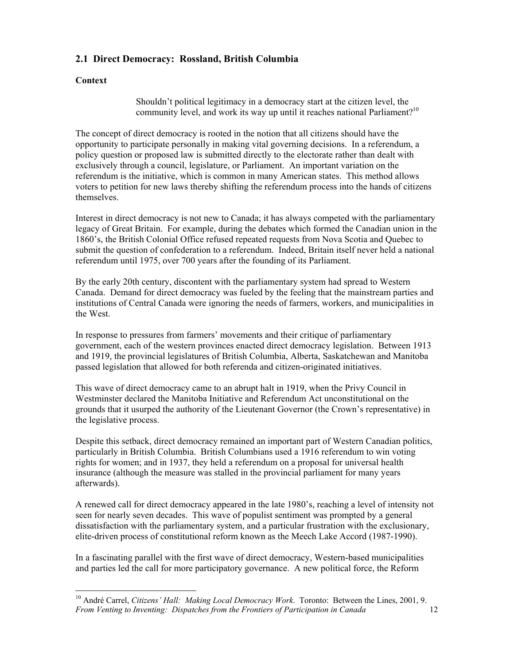## **2.1 Direct Democracy: Rossland, British Columbia**

### **Context**

Shouldn't political legitimacy in a democracy start at the citizen level, the community level, and work its way up until it reaches national Parliament?<sup>10</sup>

The concept of direct democracy is rooted in the notion that all citizens should have the opportunity to participate personally in making vital governing decisions. In a referendum, a policy question or proposed law is submitted directly to the electorate rather than dealt with exclusively through a council, legislature, or Parliament. An important variation on the referendum is the initiative, which is common in many American states. This method allows voters to petition for new laws thereby shifting the referendum process into the hands of citizens themselves.

Interest in direct democracy is not new to Canada; it has always competed with the parliamentary legacy of Great Britain. For example, during the debates which formed the Canadian union in the 1860's, the British Colonial Office refused repeated requests from Nova Scotia and Quebec to submit the question of confederation to a referendum. Indeed, Britain itself never held a national referendum until 1975, over 700 years after the founding of its Parliament.

By the early 20th century, discontent with the parliamentary system had spread to Western Canada. Demand for direct democracy was fueled by the feeling that the mainstream parties and institutions of Central Canada were ignoring the needs of farmers, workers, and municipalities in the West.

In response to pressures from farmers' movements and their critique of parliamentary government, each of the western provinces enacted direct democracy legislation. Between 1913 and 1919, the provincial legislatures of British Columbia, Alberta, Saskatchewan and Manitoba passed legislation that allowed for both referenda and citizen-originated initiatives.

This wave of direct democracy came to an abrupt halt in 1919, when the Privy Council in Westminster declared the Manitoba Initiative and Referendum Act unconstitutional on the grounds that it usurped the authority of the Lieutenant Governor (the Crown's representative) in the legislative process.

Despite this setback, direct democracy remained an important part of Western Canadian politics, particularly in British Columbia. British Columbians used a 1916 referendum to win voting rights for women; and in 1937, they held a referendum on a proposal for universal health insurance (although the measure was stalled in the provincial parliament for many years afterwards).

A renewed call for direct democracy appeared in the late 1980's, reaching a level of intensity not seen for nearly seven decades. This wave of populist sentiment was prompted by a general dissatisfaction with the parliamentary system, and a particular frustration with the exclusionary, elite-driven process of constitutional reform known as the Meech Lake Accord (1987-1990).

In a fascinating parallel with the first wave of direct democracy, Western-based municipalities and parties led the call for more participatory governance. A new political force, the Reform

*From Venting to Inventing: Dispatches from the Frontiers of Participation in Canada* 12  $\overline{a}$ 10 André Carrel, *Citizens' Hall: Making Local Democracy Work*. Toronto: Between the Lines, 2001, 9.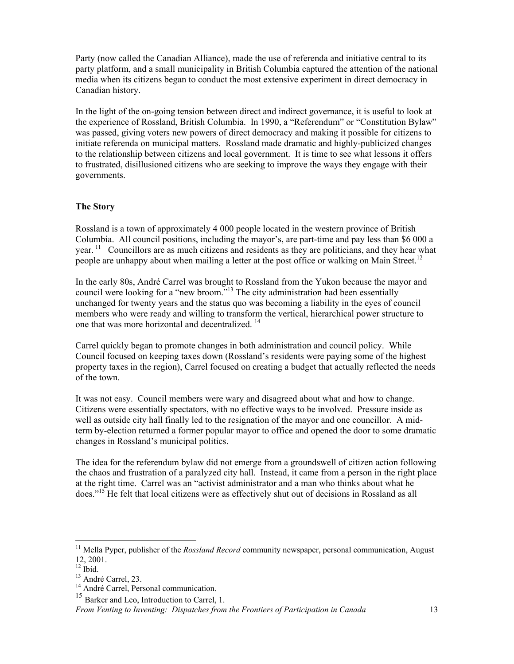Party (now called the Canadian Alliance), made the use of referenda and initiative central to its party platform, and a small municipality in British Columbia captured the attention of the national media when its citizens began to conduct the most extensive experiment in direct democracy in Canadian history.

In the light of the on-going tension between direct and indirect governance, it is useful to look at the experience of Rossland, British Columbia. In 1990, a "Referendum" or "Constitution Bylaw" was passed, giving voters new powers of direct democracy and making it possible for citizens to initiate referenda on municipal matters. Rossland made dramatic and highly-publicized changes to the relationship between citizens and local government. It is time to see what lessons it offers to frustrated, disillusioned citizens who are seeking to improve the ways they engage with their governments.

#### **The Story**

Rossland is a town of approximately 4 000 people located in the western province of British Columbia. All council positions, including the mayor's, are part-time and pay less than \$6 000 a year. <sup>11</sup> Councillors are as much citizens and residents as they are politicians, and they hear what people are unhappy about when mailing a letter at the post office or walking on Main Street.<sup>12</sup>

In the early 80s, André Carrel was brought to Rossland from the Yukon because the mayor and council were looking for a "new broom."<sup>13</sup> The city administration had been essentially unchanged for twenty years and the status quo was becoming a liability in the eyes of council members who were ready and willing to transform the vertical, hierarchical power structure to one that was more horizontal and decentralized. 14

Carrel quickly began to promote changes in both administration and council policy. While Council focused on keeping taxes down (Rossland's residents were paying some of the highest property taxes in the region), Carrel focused on creating a budget that actually reflected the needs of the town.

It was not easy. Council members were wary and disagreed about what and how to change. Citizens were essentially spectators, with no effective ways to be involved. Pressure inside as well as outside city hall finally led to the resignation of the mayor and one councillor. A midterm by-election returned a former popular mayor to office and opened the door to some dramatic changes in Rossland's municipal politics.

The idea for the referendum bylaw did not emerge from a groundswell of citizen action following the chaos and frustration of a paralyzed city hall. Instead, it came from a person in the right place at the right time. Carrel was an "activist administrator and a man who thinks about what he does."15 He felt that local citizens were as effectively shut out of decisions in Rossland as all

<sup>&</sup>lt;sup>11</sup> Mella Pyper, publisher of the *Rossland Record* community newspaper, personal communication, August 12, 2001.

 $12 \text{ hid}$ 

<sup>&</sup>lt;sup>13</sup> André Carrel, 23.

<sup>&</sup>lt;sup>14</sup> André Carrel, Personal communication.

<sup>&</sup>lt;sup>15</sup> Barker and Leo, Introduction to Carrel, 1.

*From Venting to Inventing: Dispatches from the Frontiers of Participation in Canada* 13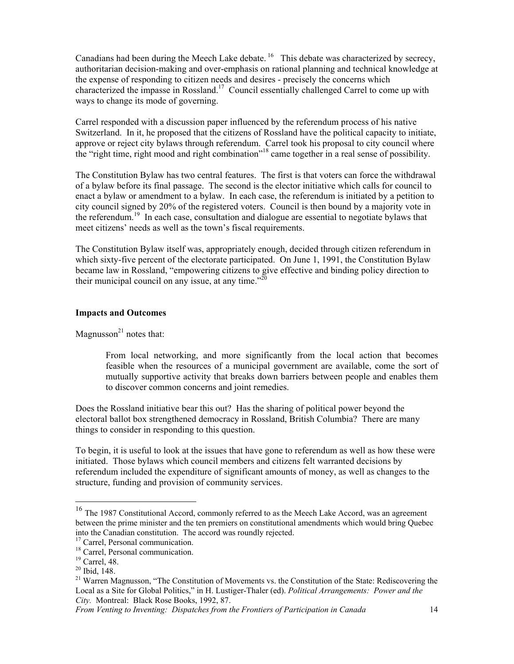Canadians had been during the Meech Lake debate.<sup>16</sup> This debate was characterized by secrecy, authoritarian decision-making and over-emphasis on rational planning and technical knowledge at the expense of responding to citizen needs and desires - precisely the concerns which characterized the impasse in Rossland.<sup>17</sup> Council essentially challenged Carrel to come up with ways to change its mode of governing.

Carrel responded with a discussion paper influenced by the referendum process of his native Switzerland. In it, he proposed that the citizens of Rossland have the political capacity to initiate, approve or reject city bylaws through referendum. Carrel took his proposal to city council where the "right time, right mood and right combination"18 came together in a real sense of possibility.

The Constitution Bylaw has two central features. The first is that voters can force the withdrawal of a bylaw before its final passage. The second is the elector initiative which calls for council to enact a bylaw or amendment to a bylaw. In each case, the referendum is initiated by a petition to city council signed by 20% of the registered voters. Council is then bound by a majority vote in the referendum.19 In each case, consultation and dialogue are essential to negotiate bylaws that meet citizens' needs as well as the town's fiscal requirements.

The Constitution Bylaw itself was, appropriately enough, decided through citizen referendum in which sixty-five percent of the electorate participated. On June 1, 1991, the Constitution Bylaw became law in Rossland, "empowering citizens to give effective and binding policy direction to their municipal council on any issue, at any time. $120$ 

#### **Impacts and Outcomes**

Magnusson $^{21}$  notes that:

From local networking, and more significantly from the local action that becomes feasible when the resources of a municipal government are available, come the sort of mutually supportive activity that breaks down barriers between people and enables them to discover common concerns and joint remedies.

Does the Rossland initiative bear this out? Has the sharing of political power beyond the electoral ballot box strengthened democracy in Rossland, British Columbia? There are many things to consider in responding to this question.

To begin, it is useful to look at the issues that have gone to referendum as well as how these were initiated. Those bylaws which council members and citizens felt warranted decisions by referendum included the expenditure of significant amounts of money, as well as changes to the structure, funding and provision of community services.

 $16$  The 1987 Constitutional Accord, commonly referred to as the Meech Lake Accord, was an agreement between the prime minister and the ten premiers on constitutional amendments which would bring Quebec into the Canadian constitution. The accord was roundly rejected.

<sup>&</sup>lt;sup>17</sup> Carrel, Personal communication.

<sup>&</sup>lt;sup>18</sup> Carrel, Personal communication.

<sup>19</sup> Carrel, 48.

<sup>20</sup> Ibid, 148.

<sup>&</sup>lt;sup>21</sup> Warren Magnusson, "The Constitution of Movements vs. the Constitution of the State: Rediscovering the Local as a Site for Global Politics," in H. Lustiger-Thaler (ed). *Political Arrangements: Power and the City.* Montreal: Black Rose Books, 1992, 87.

*From Venting to Inventing: Dispatches from the Frontiers of Participation in Canada* 14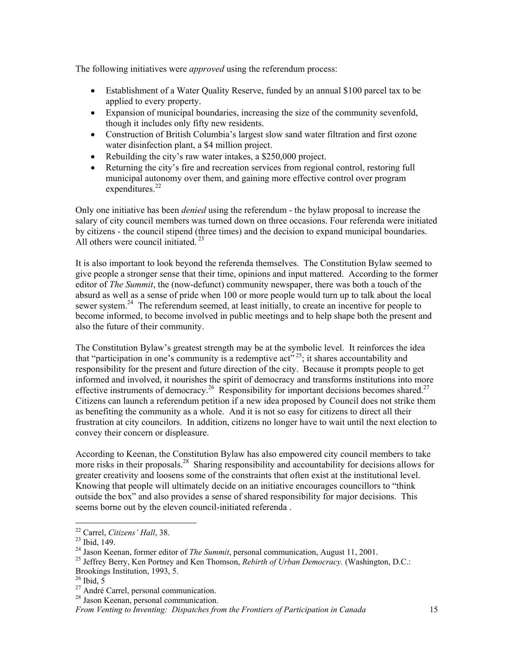The following initiatives were *approved* using the referendum process:

- Establishment of a Water Quality Reserve, funded by an annual \$100 parcel tax to be applied to every property.
- Expansion of municipal boundaries, increasing the size of the community sevenfold, though it includes only fifty new residents.
- Construction of British Columbia's largest slow sand water filtration and first ozone water disinfection plant, a \$4 million project.
- Rebuilding the city's raw water intakes, a \$250,000 project.
- Returning the city's fire and recreation services from regional control, restoring full municipal autonomy over them, and gaining more effective control over program expenditures. $22$

Only one initiative has been *denied* using the referendum - the bylaw proposal to increase the salary of city council members was turned down on three occasions. Four referenda were initiated by citizens - the council stipend (three times) and the decision to expand municipal boundaries. All others were council initiated.  $23$ 

It is also important to look beyond the referenda themselves. The Constitution Bylaw seemed to give people a stronger sense that their time, opinions and input mattered. According to the former editor of *The Summit*, the (now-defunct) community newspaper, there was both a touch of the absurd as well as a sense of pride when 100 or more people would turn up to talk about the local sewer system.<sup>24</sup> The referendum seemed, at least initially, to create an incentive for people to become informed, to become involved in public meetings and to help shape both the present and also the future of their community.

The Constitution Bylaw's greatest strength may be at the symbolic level. It reinforces the idea that "participation in one's community is a redemptive act"<sup>25</sup>; it shares accountability and responsibility for the present and future direction of the city. Because it prompts people to get informed and involved, it nourishes the spirit of democracy and transforms institutions into more effective instruments of democracy.<sup>26</sup> Responsibility for important decisions becomes shared.<sup>27</sup> Citizens can launch a referendum petition if a new idea proposed by Council does not strike them as benefiting the community as a whole. And it is not so easy for citizens to direct all their frustration at city councilors. In addition, citizens no longer have to wait until the next election to convey their concern or displeasure.

According to Keenan, the Constitution Bylaw has also empowered city council members to take more risks in their proposals.<sup>28</sup> Sharing responsibility and accountability for decisions allows for greater creativity and loosens some of the constraints that often exist at the institutional level. Knowing that people will ultimately decide on an initiative encourages councillors to "think outside the box" and also provides a sense of shared responsibility for major decisions. This seems borne out by the eleven council-initiated referenda .

<sup>&</sup>lt;sup>22</sup> Carrel, *Citizens' Hall*, 38.<br><sup>23</sup> Ibid, 149.

<sup>&</sup>lt;sup>24</sup> Jason Keenan, former editor of *The Summit*, personal communication, August 11, 2001.<br><sup>25</sup> Jeffrey Berry, Ken Portney and Ken Thomson, *Rebirth of Urban Democracy*. (Washington, D.C.: Brookings Institution, 1993, 5.

 $^{26}$  Ibid,  $5$ 

<sup>&</sup>lt;sup>27</sup> André Carrel, personal communication.

<sup>28</sup> Jason Keenan, personal communication.

*From Venting to Inventing: Dispatches from the Frontiers of Participation in Canada* 15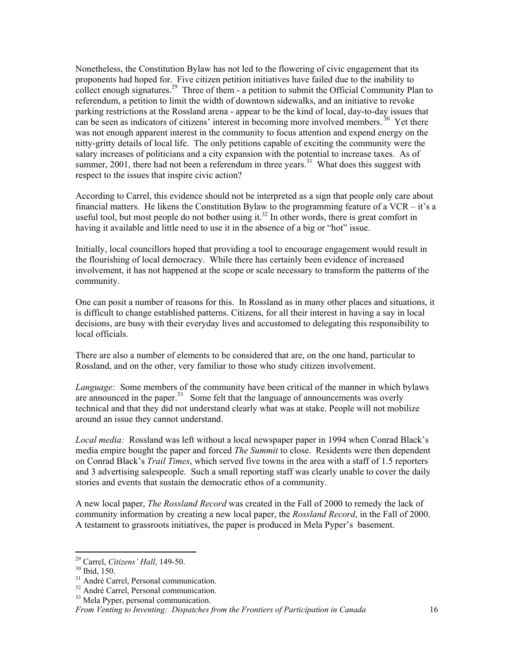Nonetheless, the Constitution Bylaw has not led to the flowering of civic engagement that its proponents had hoped for. Five citizen petition initiatives have failed due to the inability to collect enough signatures.<sup>29</sup> Three of them - a petition to submit the Official Community Plan to referendum, a petition to limit the width of downtown sidewalks, and an initiative to revoke parking restrictions at the Rossland arena - appear to be the kind of local, day-to-day issues that can be seen as indicators of citizens' interest in becoming more involved members.<sup>30</sup> Yet there was not enough apparent interest in the community to focus attention and expend energy on the nitty-gritty details of local life. The only petitions capable of exciting the community were the salary increases of politicians and a city expansion with the potential to increase taxes. As of summer, 2001, there had not been a referendum in three years.<sup>31</sup> What does this suggest with respect to the issues that inspire civic action?

According to Carrel, this evidence should not be interpreted as a sign that people only care about financial matters. He likens the Constitution Bylaw to the programming feature of a VCR – it's a useful tool, but most people do not bother using it.<sup>32</sup> In other words, there is great comfort in having it available and little need to use it in the absence of a big or "hot" issue.

Initially, local councillors hoped that providing a tool to encourage engagement would result in the flourishing of local democracy. While there has certainly been evidence of increased involvement, it has not happened at the scope or scale necessary to transform the patterns of the community.

One can posit a number of reasons for this. In Rossland as in many other places and situations, it is difficult to change established patterns. Citizens, for all their interest in having a say in local decisions, are busy with their everyday lives and accustomed to delegating this responsibility to local officials.

There are also a number of elements to be considered that are, on the one hand, particular to Rossland, and on the other, very familiar to those who study citizen involvement.

*Language:* Some members of the community have been critical of the manner in which bylaws are announced in the paper.<sup>33</sup> Some felt that the language of announcements was overly technical and that they did not understand clearly what was at stake. People will not mobilize around an issue they cannot understand.

*Local media:* Rossland was left without a local newspaper paper in 1994 when Conrad Black's media empire bought the paper and forced *The Summit* to close. Residents were then dependent on Conrad Black's *Trail Times*, which served five towns in the area with a staff of 1.5 reporters and 3 advertising salespeople. Such a small reporting staff was clearly unable to cover the daily stories and events that sustain the democratic ethos of a community.

A new local paper, *The Rossland Record* was created in the Fall of 2000 to remedy the lack of community information by creating a new local paper, the *Rossland Record*, in the Fall of 2000. A testament to grassroots initiatives, the paper is produced in Mela Pyper's basement.

<sup>&</sup>lt;sup>29</sup> Carrel, *Citizens' Hall*, 149-50.<br><sup>30</sup> Ibid, 150.

 $31$  André Carrel, Personal communication.

<sup>&</sup>lt;sup>32</sup> André Carrel, Personal communication.

<sup>&</sup>lt;sup>33</sup> Mela Pyper, personal communication.

*From Venting to Inventing: Dispatches from the Frontiers of Participation in Canada* 16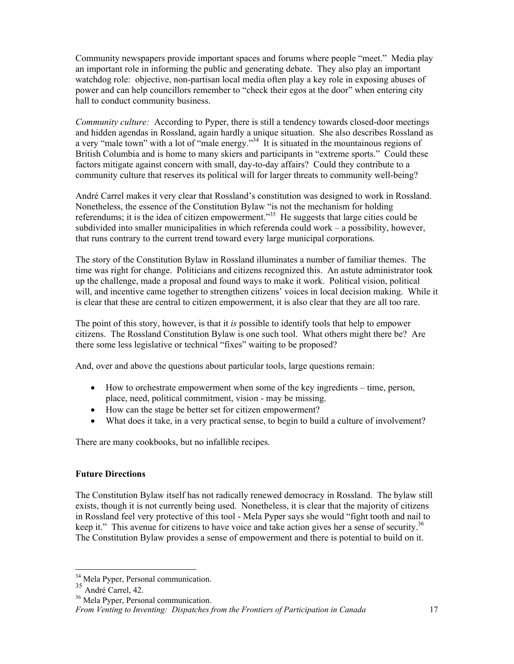Community newspapers provide important spaces and forums where people "meet." Media play an important role in informing the public and generating debate. They also play an important watchdog role: objective, non-partisan local media often play a key role in exposing abuses of power and can help councillors remember to "check their egos at the door" when entering city hall to conduct community business.

*Community culture:* According to Pyper, there is still a tendency towards closed-door meetings and hidden agendas in Rossland, again hardly a unique situation. She also describes Rossland as a very "male town" with a lot of "male energy."<sup>34</sup> It is situated in the mountainous regions of British Columbia and is home to many skiers and participants in "extreme sports." Could these factors mitigate against concern with small, day-to-day affairs? Could they contribute to a community culture that reserves its political will for larger threats to community well-being?

André Carrel makes it very clear that Rossland's constitution was designed to work in Rossland. Nonetheless, the essence of the Constitution Bylaw "is not the mechanism for holding referendums; it is the idea of citizen empowerment."<sup>35</sup> He suggests that large cities could be subdivided into smaller municipalities in which referenda could work – a possibility, however, that runs contrary to the current trend toward every large municipal corporations.

The story of the Constitution Bylaw in Rossland illuminates a number of familiar themes. The time was right for change. Politicians and citizens recognized this. An astute administrator took up the challenge, made a proposal and found ways to make it work. Political vision, political will, and incentive came together to strengthen citizens' voices in local decision making. While it is clear that these are central to citizen empowerment, it is also clear that they are all too rare.

The point of this story, however, is that it *is* possible to identify tools that help to empower citizens. The Rossland Constitution Bylaw is one such tool. What others might there be? Are there some less legislative or technical "fixes" waiting to be proposed?

And, over and above the questions about particular tools, large questions remain:

- How to orchestrate empowerment when some of the key ingredients time, person, place, need, political commitment, vision - may be missing.
- How can the stage be better set for citizen empowerment?
- What does it take, in a very practical sense, to begin to build a culture of involvement?

There are many cookbooks, but no infallible recipes.

### **Future Directions**

The Constitution Bylaw itself has not radically renewed democracy in Rossland. The bylaw still exists, though it is not currently being used. Nonetheless, it is clear that the majority of citizens in Rossland feel very protective of this tool - Mela Pyper says she would "fight tooth and nail to keep it." This avenue for citizens to have voice and take action gives her a sense of security.<sup>36</sup> The Constitution Bylaw provides a sense of empowerment and there is potential to build on it.

 $\overline{a}$ <sup>34</sup> Mela Pyper, Personal communication.

 $\frac{35}{36}$  André Carrel, 42.<br><sup>36</sup> Mela Pyper, Personal communication.

*From Venting to Inventing: Dispatches from the Frontiers of Participation in Canada* 17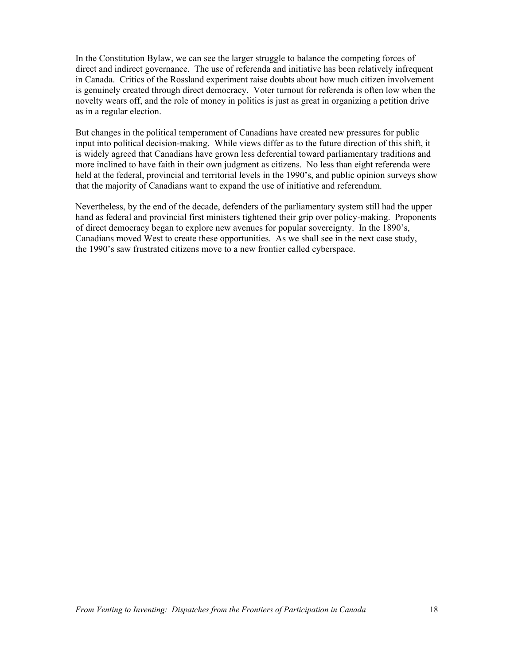In the Constitution Bylaw, we can see the larger struggle to balance the competing forces of direct and indirect governance. The use of referenda and initiative has been relatively infrequent in Canada. Critics of the Rossland experiment raise doubts about how much citizen involvement is genuinely created through direct democracy. Voter turnout for referenda is often low when the novelty wears off, and the role of money in politics is just as great in organizing a petition drive as in a regular election.

But changes in the political temperament of Canadians have created new pressures for public input into political decision-making. While views differ as to the future direction of this shift, it is widely agreed that Canadians have grown less deferential toward parliamentary traditions and more inclined to have faith in their own judgment as citizens. No less than eight referenda were held at the federal, provincial and territorial levels in the 1990's, and public opinion surveys show that the majority of Canadians want to expand the use of initiative and referendum.

Nevertheless, by the end of the decade, defenders of the parliamentary system still had the upper hand as federal and provincial first ministers tightened their grip over policy-making. Proponents of direct democracy began to explore new avenues for popular sovereignty. In the 1890's, Canadians moved West to create these opportunities. As we shall see in the next case study, the 1990's saw frustrated citizens move to a new frontier called cyberspace.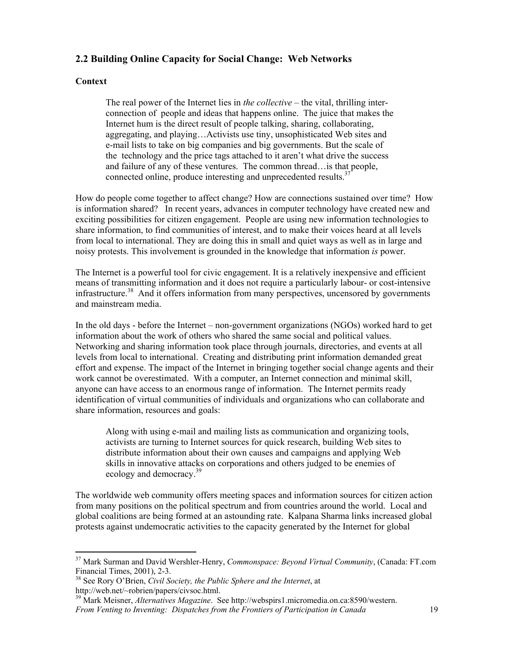### **2.2 Building Online Capacity for Social Change: Web Networks**

#### **Context**

 $\overline{a}$ 

The real power of the Internet lies in *the collective* – the vital, thrilling interconnection of people and ideas that happens online. The juice that makes the Internet hum is the direct result of people talking, sharing, collaborating, aggregating, and playing…Activists use tiny, unsophisticated Web sites and e-mail lists to take on big companies and big governments. But the scale of the technology and the price tags attached to it aren't what drive the success and failure of any of these ventures. The common thread…is that people, connected online, produce interesting and unprecedented results.<sup>3</sup>

How do people come together to affect change? How are connections sustained over time? How is information shared? In recent years, advances in computer technology have created new and exciting possibilities for citizen engagement. People are using new information technologies to share information, to find communities of interest, and to make their voices heard at all levels from local to international. They are doing this in small and quiet ways as well as in large and noisy protests. This involvement is grounded in the knowledge that information *is* power.

The Internet is a powerful tool for civic engagement. It is a relatively inexpensive and efficient means of transmitting information and it does not require a particularly labour- or cost-intensive infrastructure.<sup>38</sup> And it offers information from many perspectives, uncensored by governments and mainstream media.

In the old days - before the Internet – non-government organizations (NGOs) worked hard to get information about the work of others who shared the same social and political values. Networking and sharing information took place through journals, directories, and events at all levels from local to international. Creating and distributing print information demanded great effort and expense. The impact of the Internet in bringing together social change agents and their work cannot be overestimated. With a computer, an Internet connection and minimal skill, anyone can have access to an enormous range of information. The Internet permits ready identification of virtual communities of individuals and organizations who can collaborate and share information, resources and goals:

 Along with using e-mail and mailing lists as communication and organizing tools, activists are turning to Internet sources for quick research, building Web sites to distribute information about their own causes and campaigns and applying Web skills in innovative attacks on corporations and others judged to be enemies of ecology and democracy.<sup>39</sup>

The worldwide web community offers meeting spaces and information sources for citizen action from many positions on the political spectrum and from countries around the world. Local and global coalitions are being formed at an astounding rate. Kalpana Sharma links increased global protests against undemocratic activities to the capacity generated by the Internet for global

<sup>37</sup> Mark Surman and David Wershler-Henry, *Commonspace: Beyond Virtual Community*, (Canada: FT.com Financial Times, 2001), 2-3.

<sup>38</sup> See Rory O'Brien, *Civil Society, the Public Sphere and the Internet*, at http://web.net/~robrien/papers/civsoc.html.

*From Venting to Inventing: Dispatches from the Frontiers of Participation in Canada* 19 39 Mark Meisner, *Alternatives Magazine*. See http://webspirs1.micromedia.on.ca:8590/western.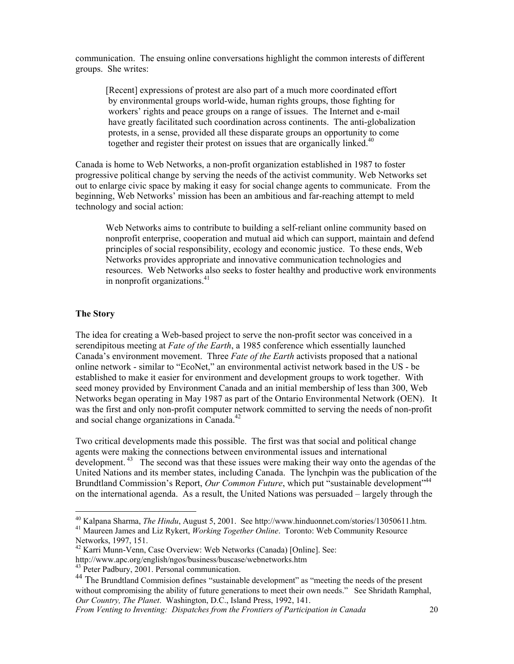communication. The ensuing online conversations highlight the common interests of different groups. She writes:

[Recent] expressions of protest are also part of a much more coordinated effort by environmental groups world-wide, human rights groups, those fighting for workers' rights and peace groups on a range of issues. The Internet and e-mail have greatly facilitated such coordination across continents. The anti-globalization protests, in a sense, provided all these disparate groups an opportunity to come together and register their protest on issues that are organically linked.<sup>40</sup>

Canada is home to Web Networks, a non-profit organization established in 1987 to foster progressive political change by serving the needs of the activist community. Web Networks set out to enlarge civic space by making it easy for social change agents to communicate. From the beginning, Web Networks' mission has been an ambitious and far-reaching attempt to meld technology and social action:

Web Networks aims to contribute to building a self-reliant online community based on nonprofit enterprise, cooperation and mutual aid which can support, maintain and defend principles of social responsibility, ecology and economic justice. To these ends, Web Networks provides appropriate and innovative communication technologies and resources. Web Networks also seeks to foster healthy and productive work environments in nonprofit organizations.<sup>41</sup>

### **The Story**

The idea for creating a Web-based project to serve the non-profit sector was conceived in a serendipitous meeting at *Fate of the Earth*, a 1985 conference which essentially launched Canada's environment movement. Three *Fate of the Earth* activists proposed that a national online network - similar to "EcoNet," an environmental activist network based in the US - be established to make it easier for environment and development groups to work together. With seed money provided by Environment Canada and an initial membership of less than 300, Web Networks began operating in May 1987 as part of the Ontario Environmental Network (OEN). It was the first and only non-profit computer network committed to serving the needs of non-profit and social change organizations in Canada.<sup>42</sup>

Two critical developments made this possible. The first was that social and political change agents were making the connections between environmental issues and international development. <sup>43</sup> The second was that these issues were making their way onto the agendas of the United Nations and its member states, including Canada. The lynchpin was the publication of the Brundtland Commission's Report, *Our Common Future*, which put "sustainable development"<sup>44</sup> on the international agenda. As a result, the United Nations was persuaded – largely through the

 $\overline{a}$ 

<sup>40</sup> Kalpana Sharma, *The Hindu*, August 5, 2001. See http://www.hinduonnet.com/stories/13050611.htm. 41 Maureen James and Liz Rykert, *Working Together Online*. Toronto: Web Community Resource

Networks, 1997, 151.

<sup>42</sup> Karri Munn-Venn, Case Overview: Web Networks (Canada) [Online]. See:

http://www.apc.org/english/ngos/business/buscase/webnetworks.htm 43 Peter Padbury, 2001. Personal communication.

<sup>&</sup>lt;sup>44</sup> The Brundtland Commision defines "sustainable development" as "meeting the needs of the present without compromising the ability of future generations to meet their own needs." See Shridath Ramphal, *Our Country, The Planet*. Washington, D.C., Island Press, 1992, 141.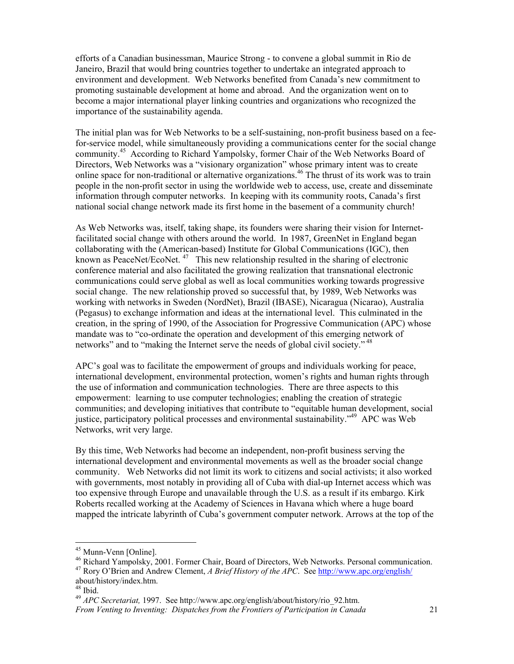efforts of a Canadian businessman, Maurice Strong - to convene a global summit in Rio de Janeiro, Brazil that would bring countries together to undertake an integrated approach to environment and development. Web Networks benefited from Canada's new commitment to promoting sustainable development at home and abroad. And the organization went on to become a major international player linking countries and organizations who recognized the importance of the sustainability agenda.

The initial plan was for Web Networks to be a self-sustaining, non-profit business based on a feefor-service model, while simultaneously providing a communications center for the social change community.<sup>45</sup> According to Richard Yampolsky, former Chair of the Web Networks Board of Directors, Web Networks was a "visionary organization" whose primary intent was to create online space for non-traditional or alternative organizations.46 The thrust of its work was to train people in the non-profit sector in using the worldwide web to access, use, create and disseminate information through computer networks. In keeping with its community roots, Canada's first national social change network made its first home in the basement of a community church!

As Web Networks was, itself, taking shape, its founders were sharing their vision for Internetfacilitated social change with others around the world. In 1987, GreenNet in England began collaborating with the (American-based) Institute for Global Communications (IGC), then known as PeaceNet/EcoNet.<sup>47</sup> This new relationship resulted in the sharing of electronic conference material and also facilitated the growing realization that transnational electronic communications could serve global as well as local communities working towards progressive social change. The new relationship proved so successful that, by 1989, Web Networks was working with networks in Sweden (NordNet), Brazil (IBASE), Nicaragua (Nicarao), Australia (Pegasus) to exchange information and ideas at the international level. This culminated in the creation, in the spring of 1990, of the Association for Progressive Communication (APC) whose mandate was to "co-ordinate the operation and development of this emerging network of networks" and to "making the Internet serve the needs of global civil society."<sup>48</sup>

APC's goal was to facilitate the empowerment of groups and individuals working for peace, international development, environmental protection, women's rights and human rights through the use of information and communication technologies. There are three aspects to this empowerment: learning to use computer technologies; enabling the creation of strategic communities; and developing initiatives that contribute to "equitable human development, social justice, participatory political processes and environmental sustainability."<sup>49</sup> APC was Web Networks, writ very large.

By this time, Web Networks had become an independent, non-profit business serving the international development and environmental movements as well as the broader social change community. Web Networks did not limit its work to citizens and social activists; it also worked with governments, most notably in providing all of Cuba with dial-up Internet access which was too expensive through Europe and unavailable through the U.S. as a result if its embargo. Kirk Roberts recalled working at the Academy of Sciences in Havana which where a huge board mapped the intricate labyrinth of Cuba's government computer network. Arrows at the top of the

<sup>&</sup>lt;sup>45</sup> Munn-Venn [Online].

<sup>&</sup>lt;sup>46</sup> Richard Yampolsky, 2001. Former Chair, Board of Directors, Web Networks. Personal communication. 47 Rory O'Brien and Andrew Clement, *A Brief History of the APC*. See http://www.apc.org/english/

about/history/index.htm.

<sup>48</sup> Ibid.

<sup>49</sup> *APC Secretariat,* 1997. See http://www.apc.org/english/about/history/rio\_92.htm.

*From Venting to Inventing: Dispatches from the Frontiers of Participation in Canada* 21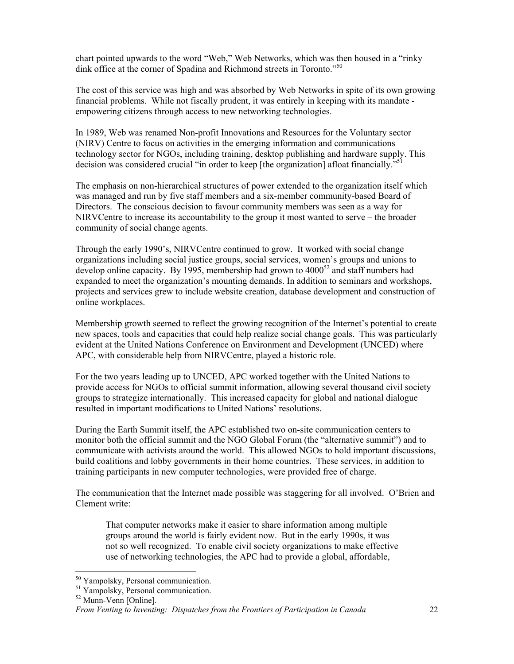chart pointed upwards to the word "Web," Web Networks, which was then housed in a "rinky dink office at the corner of Spadina and Richmond streets in Toronto."<sup>50</sup>

The cost of this service was high and was absorbed by Web Networks in spite of its own growing financial problems. While not fiscally prudent, it was entirely in keeping with its mandate empowering citizens through access to new networking technologies.

In 1989, Web was renamed Non-profit Innovations and Resources for the Voluntary sector (NIRV) Centre to focus on activities in the emerging information and communications technology sector for NGOs, including training, desktop publishing and hardware supply. This decision was considered crucial "in order to keep [the organization] afloat financially."<sup>51</sup>

The emphasis on non-hierarchical structures of power extended to the organization itself which was managed and run by five staff members and a six-member community-based Board of Directors. The conscious decision to favour community members was seen as a way for NIRVCentre to increase its accountability to the group it most wanted to serve – the broader community of social change agents.

Through the early 1990's, NIRVCentre continued to grow. It worked with social change organizations including social justice groups, social services, women's groups and unions to develop online capacity. By 1995, membership had grown to  $4000<sup>52</sup>$  and staff numbers had expanded to meet the organization's mounting demands. In addition to seminars and workshops, projects and services grew to include website creation, database development and construction of online workplaces.

Membership growth seemed to reflect the growing recognition of the Internet's potential to create new spaces, tools and capacities that could help realize social change goals. This was particularly evident at the United Nations Conference on Environment and Development (UNCED) where APC, with considerable help from NIRVCentre, played a historic role.

For the two years leading up to UNCED, APC worked together with the United Nations to provide access for NGOs to official summit information, allowing several thousand civil society groups to strategize internationally. This increased capacity for global and national dialogue resulted in important modifications to United Nations' resolutions.

During the Earth Summit itself, the APC established two on-site communication centers to monitor both the official summit and the NGO Global Forum (the "alternative summit") and to communicate with activists around the world. This allowed NGOs to hold important discussions, build coalitions and lobby governments in their home countries. These services, in addition to training participants in new computer technologies, were provided free of charge.

The communication that the Internet made possible was staggering for all involved. O'Brien and Clement write:

 That computer networks make it easier to share information among multiple groups around the world is fairly evident now. But in the early 1990s, it was not so well recognized. To enable civil society organizations to make effective use of networking technologies, the APC had to provide a global, affordable,

<sup>50</sup> Yampolsky, Personal communication.

<sup>51</sup> Yampolsky, Personal communication.

<sup>52</sup> Munn-Venn [Online].

*From Venting to Inventing: Dispatches from the Frontiers of Participation in Canada* 22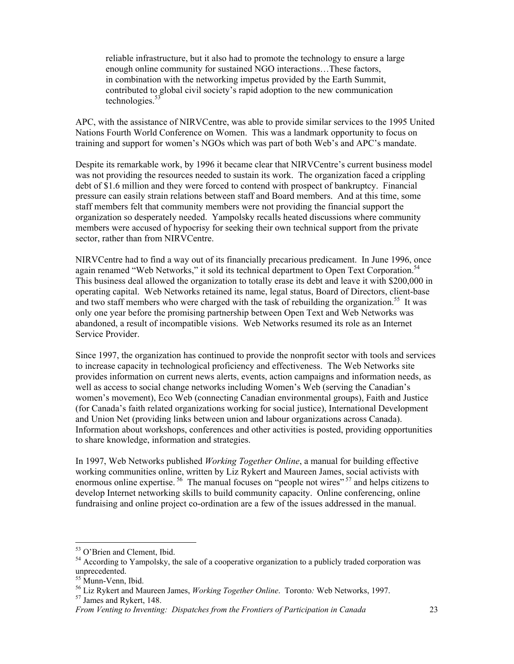reliable infrastructure, but it also had to promote the technology to ensure a large enough online community for sustained NGO interactions…These factors, in combination with the networking impetus provided by the Earth Summit, contributed to global civil society's rapid adoption to the new communication technologies.<sup>53</sup>

APC, with the assistance of NIRVCentre, was able to provide similar services to the 1995 United Nations Fourth World Conference on Women. This was a landmark opportunity to focus on training and support for women's NGOs which was part of both Web's and APC's mandate.

Despite its remarkable work, by 1996 it became clear that NIRVCentre's current business model was not providing the resources needed to sustain its work. The organization faced a crippling debt of \$1.6 million and they were forced to contend with prospect of bankruptcy. Financial pressure can easily strain relations between staff and Board members. And at this time, some staff members felt that community members were not providing the financial support the organization so desperately needed. Yampolsky recalls heated discussions where community members were accused of hypocrisy for seeking their own technical support from the private sector, rather than from NIRVCentre.

NIRVCentre had to find a way out of its financially precarious predicament. In June 1996, once again renamed "Web Networks," it sold its technical department to Open Text Corporation.<sup>54</sup> This business deal allowed the organization to totally erase its debt and leave it with \$200,000 in operating capital. Web Networks retained its name, legal status, Board of Directors, client-base and two staff members who were charged with the task of rebuilding the organization.<sup>55</sup> It was only one year before the promising partnership between Open Text and Web Networks was abandoned, a result of incompatible visions. Web Networks resumed its role as an Internet Service Provider.

Since 1997, the organization has continued to provide the nonprofit sector with tools and services to increase capacity in technological proficiency and effectiveness. The Web Networks site provides information on current news alerts, events, action campaigns and information needs, as well as access to social change networks including Women's Web (serving the Canadian's women's movement), Eco Web (connecting Canadian environmental groups), Faith and Justice (for Canada's faith related organizations working for social justice), International Development and Union Net (providing links between union and labour organizations across Canada). Information about workshops, conferences and other activities is posted, providing opportunities to share knowledge, information and strategies.

In 1997, Web Networks published *Working Together Online*, a manual for building effective working communities online, written by Liz Rykert and Maureen James, social activists with enormous online expertise.<sup>56</sup> The manual focuses on "people not wires"<sup>57</sup> and helps citizens to develop Internet networking skills to build community capacity. Online conferencing, online fundraising and online project co-ordination are a few of the issues addressed in the manual.

<sup>53</sup> O'Brien and Clement, Ibid.

<sup>&</sup>lt;sup>54</sup> According to Yampolsky, the sale of a cooperative organization to a publicly traded corporation was unprecedented.

<sup>&</sup>lt;sup>55</sup> Munn-Venn, Ibid.

<sup>&</sup>lt;sup>56</sup> Liz Rykert and Maureen James, *Working Together Online*. Toronto: Web Networks, 1997.<br><sup>57</sup> James and Rykert, 148.

*From Venting to Inventing: Dispatches from the Frontiers of Participation in Canada* 23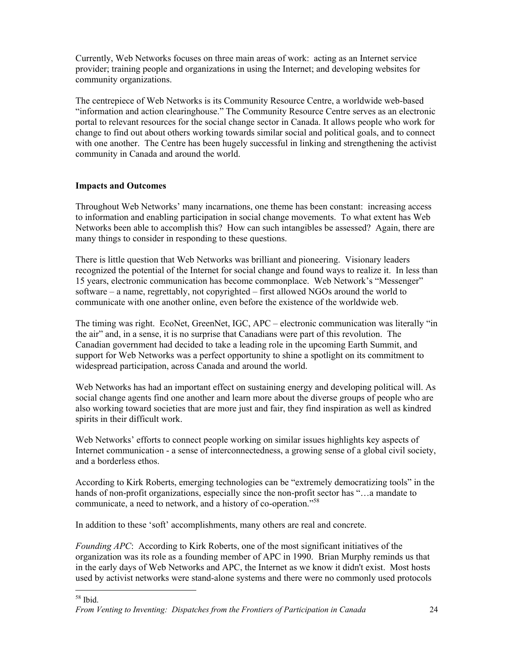Currently, Web Networks focuses on three main areas of work: acting as an Internet service provider; training people and organizations in using the Internet; and developing websites for community organizations.

The centrepiece of Web Networks is its Community Resource Centre, a worldwide web-based "information and action clearinghouse." The Community Resource Centre serves as an electronic portal to relevant resources for the social change sector in Canada. It allows people who work for change to find out about others working towards similar social and political goals, and to connect with one another. The Centre has been hugely successful in linking and strengthening the activist community in Canada and around the world.

### **Impacts and Outcomes**

Throughout Web Networks' many incarnations, one theme has been constant: increasing access to information and enabling participation in social change movements. To what extent has Web Networks been able to accomplish this? How can such intangibles be assessed? Again, there are many things to consider in responding to these questions.

There is little question that Web Networks was brilliant and pioneering. Visionary leaders recognized the potential of the Internet for social change and found ways to realize it. In less than 15 years, electronic communication has become commonplace. Web Network's "Messenger" software – a name, regrettably, not copyrighted – first allowed NGOs around the world to communicate with one another online, even before the existence of the worldwide web.

The timing was right. EcoNet, GreenNet, IGC, APC – electronic communication was literally "in the air" and, in a sense, it is no surprise that Canadians were part of this revolution. The Canadian government had decided to take a leading role in the upcoming Earth Summit, and support for Web Networks was a perfect opportunity to shine a spotlight on its commitment to widespread participation, across Canada and around the world.

Web Networks has had an important effect on sustaining energy and developing political will. As social change agents find one another and learn more about the diverse groups of people who are also working toward societies that are more just and fair, they find inspiration as well as kindred spirits in their difficult work.

Web Networks' efforts to connect people working on similar issues highlights key aspects of Internet communication - a sense of interconnectedness, a growing sense of a global civil society, and a borderless ethos.

According to Kirk Roberts, emerging technologies can be "extremely democratizing tools" in the hands of non-profit organizations, especially since the non-profit sector has "...a mandate to communicate, a need to network, and a history of co-operation."<sup>58</sup>

In addition to these 'soft' accomplishments, many others are real and concrete.

*Founding APC*: According to Kirk Roberts, one of the most significant initiatives of the organization was its role as a founding member of APC in 1990. Brian Murphy reminds us that in the early days of Web Networks and APC, the Internet as we know it didn't exist. Most hosts used by activist networks were stand-alone systems and there were no commonly used protocols

 $\overline{a}$ 58 Ibid.

*From Venting to Inventing: Dispatches from the Frontiers of Participation in Canada* 24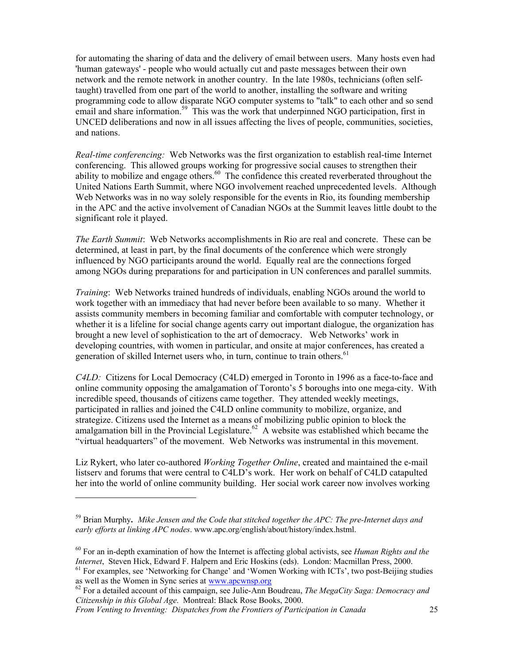for automating the sharing of data and the delivery of email between users. Many hosts even had 'human gateways' - people who would actually cut and paste messages between their own network and the remote network in another country. In the late 1980s, technicians (often selftaught) travelled from one part of the world to another, installing the software and writing programming code to allow disparate NGO computer systems to "talk" to each other and so send email and share information.<sup>59</sup> This was the work that underpinned NGO participation, first in UNCED deliberations and now in all issues affecting the lives of people, communities, societies, and nations.

*Real-time conferencing:* Web Networks was the first organization to establish real-time Internet conferencing. This allowed groups working for progressive social causes to strengthen their ability to mobilize and engage others.<sup>60</sup> The confidence this created reverberated throughout the United Nations Earth Summit, where NGO involvement reached unprecedented levels. Although Web Networks was in no way solely responsible for the events in Rio, its founding membership in the APC and the active involvement of Canadian NGOs at the Summit leaves little doubt to the significant role it played.

*The Earth Summit*: Web Networks accomplishments in Rio are real and concrete. These can be determined, at least in part, by the final documents of the conference which were strongly influenced by NGO participants around the world. Equally real are the connections forged among NGOs during preparations for and participation in UN conferences and parallel summits.

*Training*: Web Networks trained hundreds of individuals, enabling NGOs around the world to work together with an immediacy that had never before been available to so many. Whether it assists community members in becoming familiar and comfortable with computer technology, or whether it is a lifeline for social change agents carry out important dialogue, the organization has brought a new level of sophistication to the art of democracy. Web Networks' work in developing countries, with women in particular, and onsite at major conferences, has created a generation of skilled Internet users who, in turn, continue to train others.<sup>61</sup>

*C4LD:* Citizens for Local Democracy (C4LD) emerged in Toronto in 1996 as a face-to-face and online community opposing the amalgamation of Toronto's 5 boroughs into one mega-city. With incredible speed, thousands of citizens came together. They attended weekly meetings, participated in rallies and joined the C4LD online community to mobilize, organize, and strategize. Citizens used the Internet as a means of mobilizing public opinion to block the amalgamation bill in the Provincial Legislature.<sup>62</sup> A website was established which became the "virtual headquarters" of the movement. Web Networks was instrumental in this movement.

Liz Rykert, who later co-authored *Working Together Online*, created and maintained the e-mail listserv and forums that were central to C4LD's work. Her work on behalf of C4LD catapulted her into the world of online community building. Her social work career now involves working

*From Venting to Inventing: Dispatches from the Frontiers of Participation in Canada* 25

<sup>59</sup> Brian Murphy**.** *Mike Jensen and the Code that stitched together the APC: The pre-Internet days and early efforts at linking APC nodes*. www.apc.org/english/about/history/index.hstml.

<sup>&</sup>lt;sup>60</sup> For an in-depth examination of how the Internet is affecting global activists, see *Human Rights and the Internet*. Steven Hick, Edward F. Halpern and Eric Hoskins (eds). London: Macmillan Press, 2000.

<sup>&</sup>lt;sup>61</sup> For examples, see 'Networking for Change' and 'Women Working with ICTs', two post-Beijing studies as well as the Women in Sync series at <u>www.apcwnsp.org</u>

<sup>&</sup>lt;sup>62</sup> For a detailed account of this campaign, see Julie-Ann Boudreau, *The MegaCity Saga: Democracy and Citizenship in this Global Age*. Montreal: Black Rose Books, 2000.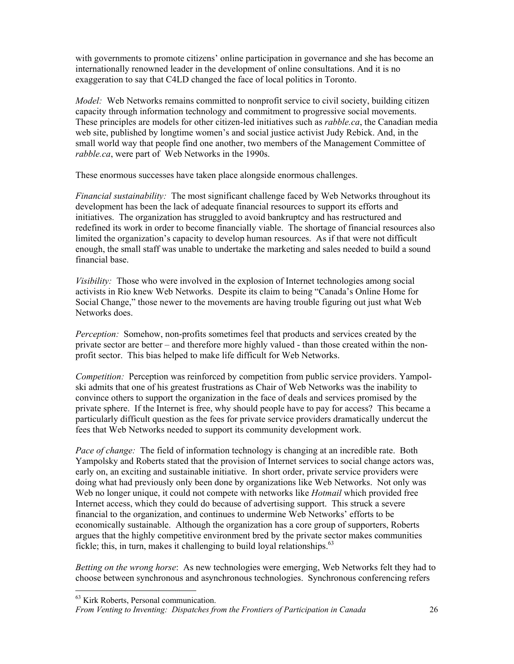with governments to promote citizens' online participation in governance and she has become an internationally renowned leader in the development of online consultations. And it is no exaggeration to say that C4LD changed the face of local politics in Toronto.

*Model:* Web Networks remains committed to nonprofit service to civil society, building citizen capacity through information technology and commitment to progressive social movements. These principles are models for other citizen-led initiatives such as *rabble.ca*, the Canadian media web site, published by longtime women's and social justice activist Judy Rebick. And, in the small world way that people find one another, two members of the Management Committee of *rabble.ca*, were part of Web Networks in the 1990s.

These enormous successes have taken place alongside enormous challenges.

*Financial sustainability:* The most significant challenge faced by Web Networks throughout its development has been the lack of adequate financial resources to support its efforts and initiatives. The organization has struggled to avoid bankruptcy and has restructured and redefined its work in order to become financially viable. The shortage of financial resources also limited the organization's capacity to develop human resources. As if that were not difficult enough, the small staff was unable to undertake the marketing and sales needed to build a sound financial base.

*Visibility:* Those who were involved in the explosion of Internet technologies among social activists in Rio knew Web Networks. Despite its claim to being "Canada's Online Home for Social Change," those newer to the movements are having trouble figuring out just what Web Networks does.

*Perception:* Somehow, non-profits sometimes feel that products and services created by the private sector are better – and therefore more highly valued - than those created within the nonprofit sector. This bias helped to make life difficult for Web Networks.

*Competition:* Perception was reinforced by competition from public service providers. Yampolski admits that one of his greatest frustrations as Chair of Web Networks was the inability to convince others to support the organization in the face of deals and services promised by the private sphere. If the Internet is free, why should people have to pay for access? This became a particularly difficult question as the fees for private service providers dramatically undercut the fees that Web Networks needed to support its community development work.

*Pace of change:* The field of information technology is changing at an incredible rate. Both Yampolsky and Roberts stated that the provision of Internet services to social change actors was, early on, an exciting and sustainable initiative. In short order, private service providers were doing what had previously only been done by organizations like Web Networks. Not only was Web no longer unique, it could not compete with networks like *Hotmail* which provided free Internet access, which they could do because of advertising support. This struck a severe financial to the organization, and continues to undermine Web Networks' efforts to be economically sustainable. Although the organization has a core group of supporters, Roberts argues that the highly competitive environment bred by the private sector makes communities fickle; this, in turn, makes it challenging to build loyal relationships.  $63$ 

*Betting on the wrong horse*: As new technologies were emerging, Web Networks felt they had to choose between synchronous and asynchronous technologies. Synchronous conferencing refers

<sup>&</sup>lt;sup>63</sup> Kirk Roberts, Personal communication.

*From Venting to Inventing: Dispatches from the Frontiers of Participation in Canada* 26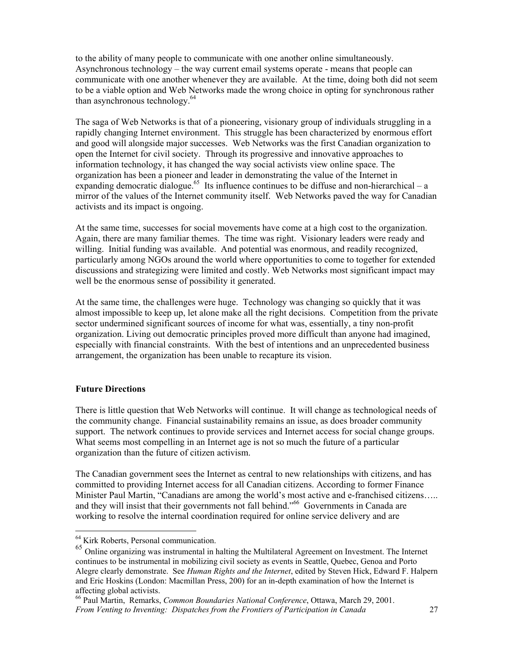to the ability of many people to communicate with one another online simultaneously. Asynchronous technology – the way current email systems operate - means that people can communicate with one another whenever they are available. At the time, doing both did not seem to be a viable option and Web Networks made the wrong choice in opting for synchronous rather than asynchronous technology.<sup>64</sup>

The saga of Web Networks is that of a pioneering, visionary group of individuals struggling in a rapidly changing Internet environment. This struggle has been characterized by enormous effort and good will alongside major successes. Web Networks was the first Canadian organization to open the Internet for civil society. Through its progressive and innovative approaches to information technology, it has changed the way social activists view online space. The organization has been a pioneer and leader in demonstrating the value of the Internet in expanding democratic dialogue.<sup>65</sup> Its influence continues to be diffuse and non-hierarchical – a mirror of the values of the Internet community itself. Web Networks paved the way for Canadian activists and its impact is ongoing.

At the same time, successes for social movements have come at a high cost to the organization. Again, there are many familiar themes. The time was right. Visionary leaders were ready and willing. Initial funding was available. And potential was enormous, and readily recognized, particularly among NGOs around the world where opportunities to come to together for extended discussions and strategizing were limited and costly. Web Networks most significant impact may well be the enormous sense of possibility it generated.

At the same time, the challenges were huge. Technology was changing so quickly that it was almost impossible to keep up, let alone make all the right decisions. Competition from the private sector undermined significant sources of income for what was, essentially, a tiny non-profit organization. Living out democratic principles proved more difficult than anyone had imagined, especially with financial constraints. With the best of intentions and an unprecedented business arrangement, the organization has been unable to recapture its vision.

#### **Future Directions**

 $\overline{a}$ 

There is little question that Web Networks will continue. It will change as technological needs of the community change. Financial sustainability remains an issue, as does broader community support. The network continues to provide services and Internet access for social change groups. What seems most compelling in an Internet age is not so much the future of a particular organization than the future of citizen activism.

The Canadian government sees the Internet as central to new relationships with citizens, and has committed to providing Internet access for all Canadian citizens. According to former Finance Minister Paul Martin, "Canadians are among the world's most active and e-franchised citizens….. and they will insist that their governments not fall behind."<sup>66</sup> Governments in Canada are working to resolve the internal coordination required for online service delivery and are

<sup>&</sup>lt;sup>64</sup> Kirk Roberts, Personal communication.

<sup>&</sup>lt;sup>65</sup> Online organizing was instrumental in halting the Multilateral Agreement on Investment. The Internet continues to be instrumental in mobilizing civil society as events in Seattle, Quebec, Genoa and Porto Alegre clearly demonstrate. See *Human Rights and the Internet*, edited by Steven Hick, Edward F. Halpern and Eric Hoskins (London: Macmillan Press, 200) for an in-depth examination of how the Internet is affecting global activists.

*From Venting to Inventing: Dispatches from the Frontiers of Participation in Canada* 27 66 Paul Martin, Remarks, *Common Boundaries National Conference*, Ottawa, March 29, 2001.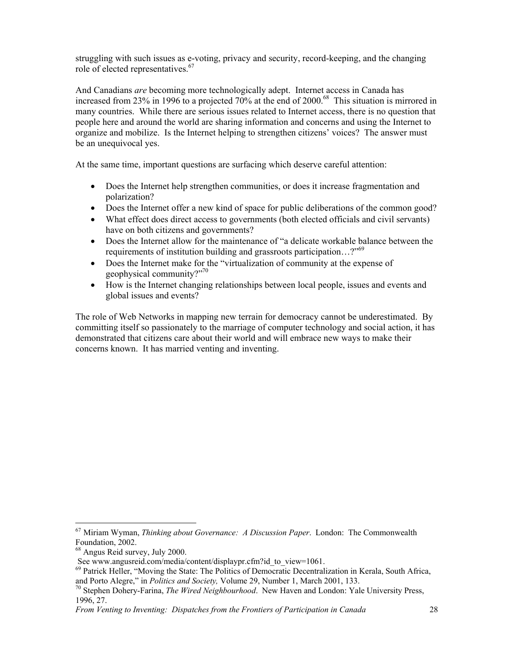struggling with such issues as e-voting, privacy and security, record-keeping, and the changing role of elected representatives.<sup>67</sup>

And Canadians *are* becoming more technologically adept. Internet access in Canada has increased from 23% in 1996 to a projected  $70\%$  at the end of  $2000$ .<sup>68</sup> This situation is mirrored in many countries. While there are serious issues related to Internet access, there is no question that people here and around the world are sharing information and concerns and using the Internet to organize and mobilize. Is the Internet helping to strengthen citizens' voices? The answer must be an unequivocal yes.

At the same time, important questions are surfacing which deserve careful attention:

- Does the Internet help strengthen communities, or does it increase fragmentation and polarization?
- Does the Internet offer a new kind of space for public deliberations of the common good?
- What effect does direct access to governments (both elected officials and civil servants) have on both citizens and governments?
- Does the Internet allow for the maintenance of "a delicate workable balance between the requirements of institution building and grassroots participation…?"<sup>69</sup>
- Does the Internet make for the "virtualization of community at the expense of geophysical community?"70
- How is the Internet changing relationships between local people, issues and events and global issues and events?

The role of Web Networks in mapping new terrain for democracy cannot be underestimated. By committing itself so passionately to the marriage of computer technology and social action, it has demonstrated that citizens care about their world and will embrace new ways to make their concerns known. It has married venting and inventing.

<sup>67</sup> Miriam Wyman, *Thinking about Governance: A Discussion Paper*. London: The Commonwealth Foundation, 2002.

<sup>68</sup> Angus Reid survey, July 2000.

See www.angusreid.com/media/content/displaypr.cfm?id\_to\_view=1061.

<sup>&</sup>lt;sup>69</sup> Patrick Heller, "Moving the State: The Politics of Democratic Decentralization in Kerala, South Africa, and Porto Alegre," in *Politics and Society*, Volume 29, Number 1, March 2001, 133.

<sup>&</sup>lt;sup>70</sup> Stephen Dohery-Farina, *The Wired Neighbourhood*. New Haven and London: Yale University Press, 1996, 27.

*From Venting to Inventing: Dispatches from the Frontiers of Participation in Canada* 28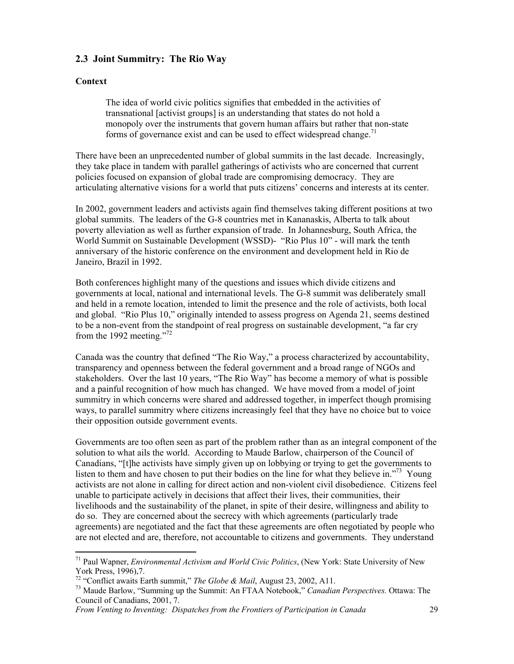## **2.3 Joint Summitry: The Rio Way**

### **Context**

 $\overline{a}$ 

 The idea of world civic politics signifies that embedded in the activities of transnational [activist groups] is an understanding that states do not hold a monopoly over the instruments that govern human affairs but rather that non-state forms of governance exist and can be used to effect widespread change.<sup>71</sup>

There have been an unprecedented number of global summits in the last decade. Increasingly, they take place in tandem with parallel gatherings of activists who are concerned that current policies focused on expansion of global trade are compromising democracy. They are articulating alternative visions for a world that puts citizens' concerns and interests at its center.

In 2002, government leaders and activists again find themselves taking different positions at two global summits. The leaders of the G-8 countries met in Kananaskis, Alberta to talk about poverty alleviation as well as further expansion of trade. In Johannesburg, South Africa, the World Summit on Sustainable Development (WSSD)- "Rio Plus 10" - will mark the tenth anniversary of the historic conference on the environment and development held in Rio de Janeiro, Brazil in 1992.

Both conferences highlight many of the questions and issues which divide citizens and governments at local, national and international levels. The G-8 summit was deliberately small and held in a remote location, intended to limit the presence and the role of activists, both local and global. "Rio Plus 10," originally intended to assess progress on Agenda 21, seems destined to be a non-event from the standpoint of real progress on sustainable development, "a far cry from the 1992 meeting."<sup>72</sup>

Canada was the country that defined "The Rio Way," a process characterized by accountability, transparency and openness between the federal government and a broad range of NGOs and stakeholders. Over the last 10 years, "The Rio Way" has become a memory of what is possible and a painful recognition of how much has changed. We have moved from a model of joint summitry in which concerns were shared and addressed together, in imperfect though promising ways, to parallel summitry where citizens increasingly feel that they have no choice but to voice their opposition outside government events.

Governments are too often seen as part of the problem rather than as an integral component of the solution to what ails the world. According to Maude Barlow, chairperson of the Council of Canadians, "[t]he activists have simply given up on lobbying or trying to get the governments to listen to them and have chosen to put their bodies on the line for what they believe in.<sup> $273$ </sup> Young activists are not alone in calling for direct action and non-violent civil disobedience. Citizens feel unable to participate actively in decisions that affect their lives, their communities, their livelihoods and the sustainability of the planet, in spite of their desire, willingness and ability to do so. They are concerned about the secrecy with which agreements (particularly trade agreements) are negotiated and the fact that these agreements are often negotiated by people who are not elected and are, therefore, not accountable to citizens and governments. They understand

<sup>71</sup> Paul Wapner, *Environmental Activism and World Civic Politics*, (New York: State University of New York Press, 1996),7.<br><sup>72</sup> "Conflict awaits Earth summit," *The Globe & Mail*, August 23, 2002, A11.

<sup>&</sup>lt;sup>73</sup> Maude Barlow, "Summing up the Summit: An FTAA Notebook," *Canadian Perspectives*. Ottawa: The Council of Canadians, 2001, 7.

*From Venting to Inventing: Dispatches from the Frontiers of Participation in Canada* 29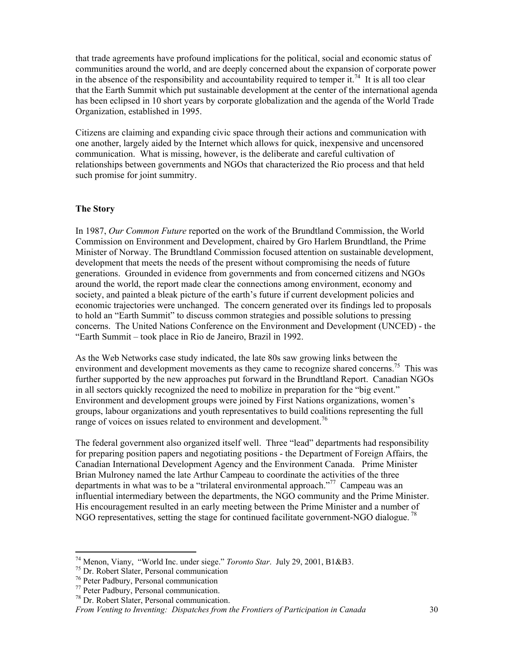that trade agreements have profound implications for the political, social and economic status of communities around the world, and are deeply concerned about the expansion of corporate power in the absence of the responsibility and accountability required to temper it.<sup>74</sup> It is all too clear that the Earth Summit which put sustainable development at the center of the international agenda has been eclipsed in 10 short years by corporate globalization and the agenda of the World Trade Organization, established in 1995.

Citizens are claiming and expanding civic space through their actions and communication with one another, largely aided by the Internet which allows for quick, inexpensive and uncensored communication. What is missing, however, is the deliberate and careful cultivation of relationships between governments and NGOs that characterized the Rio process and that held such promise for joint summitry.

#### **The Story**

In 1987, *Our Common Future* reported on the work of the Brundtland Commission, the World Commission on Environment and Development, chaired by Gro Harlem Brundtland, the Prime Minister of Norway. The Brundtland Commission focused attention on sustainable development, development that meets the needs of the present without compromising the needs of future generations. Grounded in evidence from governments and from concerned citizens and NGOs around the world, the report made clear the connections among environment, economy and society, and painted a bleak picture of the earth's future if current development policies and economic trajectories were unchanged. The concern generated over its findings led to proposals to hold an "Earth Summit" to discuss common strategies and possible solutions to pressing concerns. The United Nations Conference on the Environment and Development (UNCED) - the "Earth Summit – took place in Rio de Janeiro, Brazil in 1992.

As the Web Networks case study indicated, the late 80s saw growing links between the environment and development movements as they came to recognize shared concerns.<sup>75</sup> This was further supported by the new approaches put forward in the Brundtland Report. Canadian NGOs in all sectors quickly recognized the need to mobilize in preparation for the "big event." Environment and development groups were joined by First Nations organizations, women's groups, labour organizations and youth representatives to build coalitions representing the full range of voices on issues related to environment and development.<sup>76</sup>

The federal government also organized itself well. Three "lead" departments had responsibility for preparing position papers and negotiating positions - the Department of Foreign Affairs, the Canadian International Development Agency and the Environment Canada. Prime Minister Brian Mulroney named the late Arthur Campeau to coordinate the activities of the three departments in what was to be a "trilateral environmental approach."<sup>77</sup> Campeau was an influential intermediary between the departments, the NGO community and the Prime Minister. His encouragement resulted in an early meeting between the Prime Minister and a number of NGO representatives, setting the stage for continued facilitate government-NGO dialogue.<sup>78</sup>

<sup>74</sup> Menon, Viany, "World Inc. under siege." *Toronto Star*. July 29, 2001, B1&B3. 75 Dr. Robert Slater, Personal communication

<sup>76</sup> Peter Padbury, Personal communication

<sup>77</sup> Peter Padbury, Personal communication.

<sup>78</sup> Dr. Robert Slater, Personal communication.

*From Venting to Inventing: Dispatches from the Frontiers of Participation in Canada* 30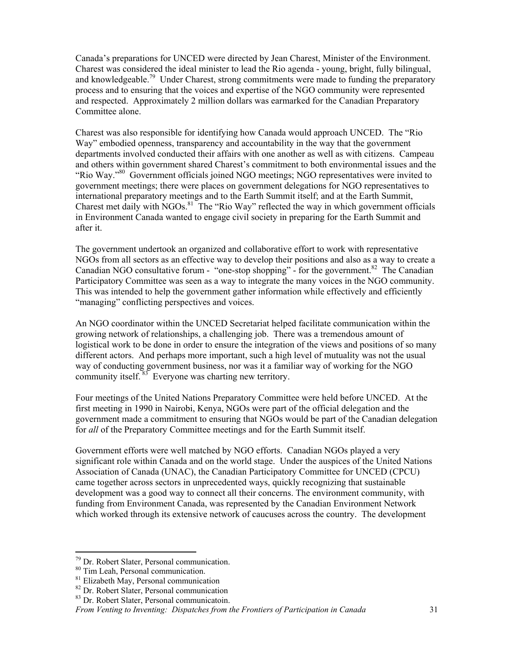Canada's preparations for UNCED were directed by Jean Charest, Minister of the Environment. Charest was considered the ideal minister to lead the Rio agenda - young, bright, fully bilingual, and knowledgeable.<sup>79</sup> Under Charest, strong commitments were made to funding the preparatory process and to ensuring that the voices and expertise of the NGO community were represented and respected. Approximately 2 million dollars was earmarked for the Canadian Preparatory Committee alone.

Charest was also responsible for identifying how Canada would approach UNCED. The "Rio Way" embodied openness, transparency and accountability in the way that the government departments involved conducted their affairs with one another as well as with citizens. Campeau and others within government shared Charest's commitment to both environmental issues and the "Rio Way."80 Government officials joined NGO meetings; NGO representatives were invited to government meetings; there were places on government delegations for NGO representatives to international preparatory meetings and to the Earth Summit itself; and at the Earth Summit, Charest met daily with NGOs.<sup>81</sup> The "Rio Way" reflected the way in which government officials in Environment Canada wanted to engage civil society in preparing for the Earth Summit and after it.

The government undertook an organized and collaborative effort to work with representative NGOs from all sectors as an effective way to develop their positions and also as a way to create a Canadian NGO consultative forum - "one-stop shopping" - for the government.<sup>82</sup> The Canadian Participatory Committee was seen as a way to integrate the many voices in the NGO community. This was intended to help the government gather information while effectively and efficiently "managing" conflicting perspectives and voices.

An NGO coordinator within the UNCED Secretariat helped facilitate communication within the growing network of relationships, a challenging job. There was a tremendous amount of logistical work to be done in order to ensure the integration of the views and positions of so many different actors. And perhaps more important, such a high level of mutuality was not the usual way of conducting government business, nor was it a familiar way of working for the NGO community itself.  $83$  Everyone was charting new territory.

Four meetings of the United Nations Preparatory Committee were held before UNCED. At the first meeting in 1990 in Nairobi, Kenya, NGOs were part of the official delegation and the government made a commitment to ensuring that NGOs would be part of the Canadian delegation for *all* of the Preparatory Committee meetings and for the Earth Summit itself.

Government efforts were well matched by NGO efforts. Canadian NGOs played a very significant role within Canada and on the world stage. Under the auspices of the United Nations Association of Canada (UNAC), the Canadian Participatory Committee for UNCED (CPCU) came together across sectors in unprecedented ways, quickly recognizing that sustainable development was a good way to connect all their concerns. The environment community, with funding from Environment Canada, was represented by the Canadian Environment Network which worked through its extensive network of caucuses across the country. The development

<sup>79</sup> Dr. Robert Slater, Personal communication.

<sup>&</sup>lt;sup>80</sup> Tim Leah, Personal communication.

<sup>&</sup>lt;sup>81</sup> Elizabeth May, Personal communication

<sup>82</sup> Dr. Robert Slater, Personal communication

<sup>83</sup> Dr. Robert Slater, Personal communicatoin.

*From Venting to Inventing: Dispatches from the Frontiers of Participation in Canada* 31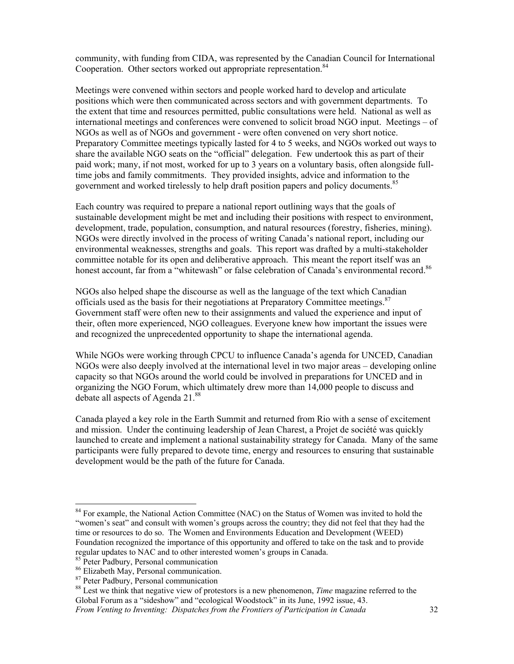community, with funding from CIDA, was represented by the Canadian Council for International Cooperation. Other sectors worked out appropriate representation.<sup>84</sup>

Meetings were convened within sectors and people worked hard to develop and articulate positions which were then communicated across sectors and with government departments. To the extent that time and resources permitted, public consultations were held. National as well as international meetings and conferences were convened to solicit broad NGO input. Meetings – of NGOs as well as of NGOs and government - were often convened on very short notice. Preparatory Committee meetings typically lasted for 4 to 5 weeks, and NGOs worked out ways to share the available NGO seats on the "official" delegation. Few undertook this as part of their paid work; many, if not most, worked for up to 3 years on a voluntary basis, often alongside fulltime jobs and family commitments. They provided insights, advice and information to the government and worked tirelessly to help draft position papers and policy documents.<sup>85</sup>

Each country was required to prepare a national report outlining ways that the goals of sustainable development might be met and including their positions with respect to environment, development, trade, population, consumption, and natural resources (forestry, fisheries, mining). NGOs were directly involved in the process of writing Canada's national report, including our environmental weaknesses, strengths and goals. This report was drafted by a multi-stakeholder committee notable for its open and deliberative approach. This meant the report itself was an honest account, far from a "whitewash" or false celebration of Canada's environmental record.<sup>86</sup>

NGOs also helped shape the discourse as well as the language of the text which Canadian officials used as the basis for their negotiations at Preparatory Committee meetings.<sup>87</sup> Government staff were often new to their assignments and valued the experience and input of their, often more experienced, NGO colleagues. Everyone knew how important the issues were and recognized the unprecedented opportunity to shape the international agenda.

While NGOs were working through CPCU to influence Canada's agenda for UNCED, Canadian NGOs were also deeply involved at the international level in two major areas – developing online capacity so that NGOs around the world could be involved in preparations for UNCED and in organizing the NGO Forum, which ultimately drew more than 14,000 people to discuss and debate all aspects of Agenda 21.<sup>88</sup>

Canada played a key role in the Earth Summit and returned from Rio with a sense of excitement and mission. Under the continuing leadership of Jean Charest, a Projet de société was quickly launched to create and implement a national sustainability strategy for Canada. Many of the same participants were fully prepared to devote time, energy and resources to ensuring that sustainable development would be the path of the future for Canada.

 $\overline{a}$ 

<sup>&</sup>lt;sup>84</sup> For example, the National Action Committee (NAC) on the Status of Women was invited to hold the "women's seat" and consult with women's groups across the country; they did not feel that they had the time or resources to do so. The Women and Environments Education and Development (WEED) Foundation recognized the importance of this opportunity and offered to take on the task and to provide regular updates to NAC and to other interested women's groups in Canada.

<sup>&</sup>lt;sup>85</sup> Peter Padbury, Personal communication

<sup>86</sup> Elizabeth May, Personal communication.

<sup>87</sup> Peter Padbury, Personal communication

<sup>88</sup> Lest we think that negative view of protestors is a new phenomenon, *Time* magazine referred to the Global Forum as a "sideshow" and "ecological Woodstock" in its June, 1992 issue, 43.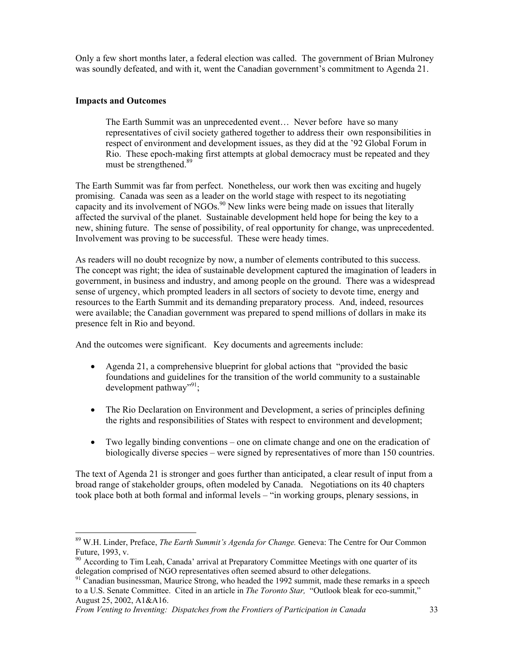Only a few short months later, a federal election was called. The government of Brian Mulroney was soundly defeated, and with it, went the Canadian government's commitment to Agenda 21.

#### **Impacts and Outcomes**

 $\overline{a}$ 

The Earth Summit was an unprecedented event… Never before have so many representatives of civil society gathered together to address their own responsibilities in respect of environment and development issues, as they did at the '92 Global Forum in Rio. These epoch-making first attempts at global democracy must be repeated and they must be strengthened.<sup>89</sup>

The Earth Summit was far from perfect. Nonetheless, our work then was exciting and hugely promising. Canada was seen as a leader on the world stage with respect to its negotiating capacity and its involvement of NGOs.<sup>90</sup> New links were being made on issues that literally affected the survival of the planet. Sustainable development held hope for being the key to a new, shining future. The sense of possibility, of real opportunity for change, was unprecedented. Involvement was proving to be successful. These were heady times.

As readers will no doubt recognize by now, a number of elements contributed to this success. The concept was right; the idea of sustainable development captured the imagination of leaders in government, in business and industry, and among people on the ground. There was a widespread sense of urgency, which prompted leaders in all sectors of society to devote time, energy and resources to the Earth Summit and its demanding preparatory process. And, indeed, resources were available; the Canadian government was prepared to spend millions of dollars in make its presence felt in Rio and beyond.

And the outcomes were significant. Key documents and agreements include:

- Agenda 21, a comprehensive blueprint for global actions that "provided the basic foundations and guidelines for the transition of the world community to a sustainable development pathway", $\frac{91}{3}$ ;
- The Rio Declaration on Environment and Development, a series of principles defining the rights and responsibilities of States with respect to environment and development;
- Two legally binding conventions one on climate change and one on the eradication of biologically diverse species – were signed by representatives of more than 150 countries.

The text of Agenda 21 is stronger and goes further than anticipated, a clear result of input from a broad range of stakeholder groups, often modeled by Canada. Negotiations on its 40 chapters took place both at both formal and informal levels – "in working groups, plenary sessions, in

<sup>89</sup> W.H. Linder, Preface, *The Earth Summit's Agenda for Change.* Geneva: The Centre for Our Common Future, 1993, v.

<sup>&</sup>lt;sup>90</sup> According to Tim Leah, Canada' arrival at Preparatory Committee Meetings with one quarter of its delegation comprised of NGO representatives often seemed absurd to other delegations.

<sup>&</sup>lt;sup>91</sup> Canadian businessman, Maurice Strong, who headed the 1992 summit, made these remarks in a speech to a U.S. Senate Committee. Cited in an article in *The Toronto Star,* "Outlook bleak for eco-summit," August 25, 2002, A1&A16.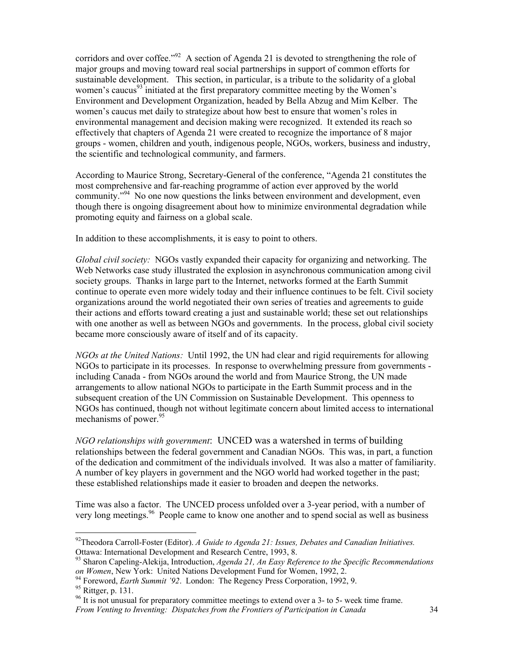corridors and over coffee."<sup>92</sup> A section of Agenda 21 is devoted to strengthening the role of major groups and moving toward real social partnerships in support of common efforts for sustainable development. This section, in particular, is a tribute to the solidarity of a global women's caucus<sup>93</sup> initiated at the first preparatory committee meeting by the Women's Environment and Development Organization, headed by Bella Abzug and Mim Kelber. The women's caucus met daily to strategize about how best to ensure that women's roles in environmental management and decision making were recognized. It extended its reach so effectively that chapters of Agenda 21 were created to recognize the importance of 8 major groups - women, children and youth, indigenous people, NGOs, workers, business and industry, the scientific and technological community, and farmers.

According to Maurice Strong, Secretary-General of the conference, "Agenda 21 constitutes the most comprehensive and far-reaching programme of action ever approved by the world community."<sup>94</sup> No one now questions the links between environment and development, even though there is ongoing disagreement about how to minimize environmental degradation while promoting equity and fairness on a global scale.

In addition to these accomplishments, it is easy to point to others.

*Global civil society:* NGOs vastly expanded their capacity for organizing and networking. The Web Networks case study illustrated the explosion in asynchronous communication among civil society groups. Thanks in large part to the Internet, networks formed at the Earth Summit continue to operate even more widely today and their influence continues to be felt. Civil society organizations around the world negotiated their own series of treaties and agreements to guide their actions and efforts toward creating a just and sustainable world; these set out relationships with one another as well as between NGOs and governments. In the process, global civil society became more consciously aware of itself and of its capacity.

*NGOs at the United Nations:* Until 1992, the UN had clear and rigid requirements for allowing NGOs to participate in its processes. In response to overwhelming pressure from governments including Canada - from NGOs around the world and from Maurice Strong, the UN made arrangements to allow national NGOs to participate in the Earth Summit process and in the subsequent creation of the UN Commission on Sustainable Development. This openness to NGOs has continued, though not without legitimate concern about limited access to international mechanisms of power. $95$ 

*NGO relationships with government*: UNCED was a watershed in terms of building relationships between the federal government and Canadian NGOs. This was, in part, a function of the dedication and commitment of the individuals involved. It was also a matter of familiarity. A number of key players in government and the NGO world had worked together in the past; these established relationships made it easier to broaden and deepen the networks.

Time was also a factor. The UNCED process unfolded over a 3-year period, with a number of very long meetings.<sup>96</sup> People came to know one another and to spend social as well as business

<sup>92</sup>Theodora Carroll-Foster (Editor). *A Guide to Agenda 21: Issues, Debates and Canadian Initiatives.* Ottawa: International Development and Research Centre, 1993, 8.

<sup>93</sup> Sharon Capeling-Alekija, Introduction, *Agenda 21, An Easy Reference to the Specific Recommendations on Women*, New York: United Nations Development Fund for Women, 1992, 2.<br><sup>94</sup> Foreword, *Earth Summit '92*. London: The Regency Press Corporation, 1992, 9.<br><sup>95</sup> Rittger, p. 131.

*From Venting to Inventing: Dispatches from the Frontiers of Participation in Canada* 34 <sup>96</sup> It is not unusual for preparatory committee meetings to extend over a 3- to 5- week time frame.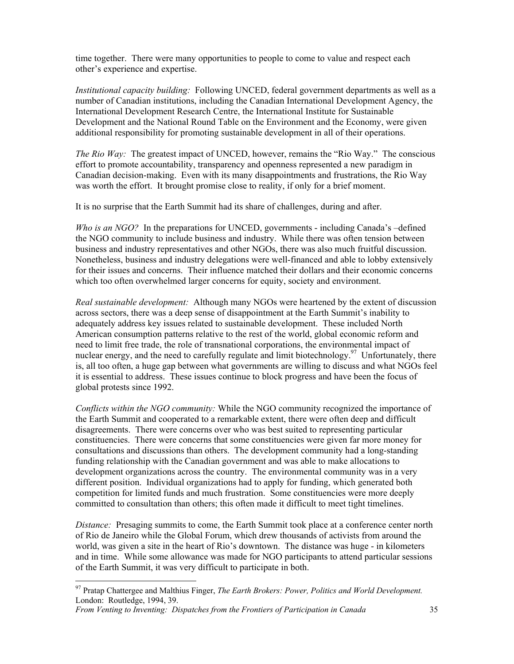time together. There were many opportunities to people to come to value and respect each other's experience and expertise.

*Institutional capacity building:* Following UNCED, federal government departments as well as a number of Canadian institutions, including the Canadian International Development Agency, the International Development Research Centre, the International Institute for Sustainable Development and the National Round Table on the Environment and the Economy, were given additional responsibility for promoting sustainable development in all of their operations.

*The Rio Way:* The greatest impact of UNCED, however, remains the "Rio Way." The conscious effort to promote accountability, transparency and openness represented a new paradigm in Canadian decision-making. Even with its many disappointments and frustrations, the Rio Way was worth the effort. It brought promise close to reality, if only for a brief moment.

It is no surprise that the Earth Summit had its share of challenges, during and after.

*Who is an NGO?* In the preparations for UNCED, governments - including Canada's –defined the NGO community to include business and industry. While there was often tension between business and industry representatives and other NGOs, there was also much fruitful discussion. Nonetheless, business and industry delegations were well-financed and able to lobby extensively for their issues and concerns. Their influence matched their dollars and their economic concerns which too often overwhelmed larger concerns for equity, society and environment.

*Real sustainable development:* Although many NGOs were heartened by the extent of discussion across sectors, there was a deep sense of disappointment at the Earth Summit's inability to adequately address key issues related to sustainable development. These included North American consumption patterns relative to the rest of the world, global economic reform and need to limit free trade, the role of transnational corporations, the environmental impact of nuclear energy, and the need to carefully regulate and limit biotechnology.<sup>97</sup> Unfortunately, there is, all too often, a huge gap between what governments are willing to discuss and what NGOs feel it is essential to address. These issues continue to block progress and have been the focus of global protests since 1992.

*Conflicts within the NGO community:* While the NGO community recognized the importance of the Earth Summit and cooperated to a remarkable extent, there were often deep and difficult disagreements. There were concerns over who was best suited to representing particular constituencies. There were concerns that some constituencies were given far more money for consultations and discussions than others. The development community had a long-standing funding relationship with the Canadian government and was able to make allocations to development organizations across the country. The environmental community was in a very different position. Individual organizations had to apply for funding, which generated both competition for limited funds and much frustration. Some constituencies were more deeply committed to consultation than others; this often made it difficult to meet tight timelines.

*Distance:* Presaging summits to come, the Earth Summit took place at a conference center north of Rio de Janeiro while the Global Forum, which drew thousands of activists from around the world, was given a site in the heart of Rio's downtown. The distance was huge - in kilometers and in time. While some allowance was made for NGO participants to attend particular sessions of the Earth Summit, it was very difficult to participate in both.

<sup>97</sup> Pratap Chattergee and Malthius Finger, *The Earth Brokers: Power, Politics and World Development.* London: Routledge, 1994, 39.

*From Venting to Inventing: Dispatches from the Frontiers of Participation in Canada* 35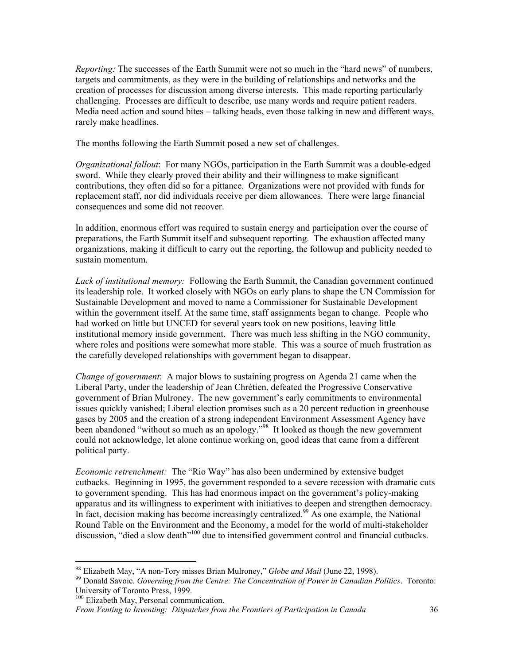*Reporting:* The successes of the Earth Summit were not so much in the "hard news" of numbers, targets and commitments, as they were in the building of relationships and networks and the creation of processes for discussion among diverse interests. This made reporting particularly challenging. Processes are difficult to describe, use many words and require patient readers. Media need action and sound bites – talking heads, even those talking in new and different ways, rarely make headlines.

The months following the Earth Summit posed a new set of challenges.

*Organizational fallout*: For many NGOs, participation in the Earth Summit was a double-edged sword. While they clearly proved their ability and their willingness to make significant contributions, they often did so for a pittance. Organizations were not provided with funds for replacement staff, nor did individuals receive per diem allowances. There were large financial consequences and some did not recover.

In addition, enormous effort was required to sustain energy and participation over the course of preparations, the Earth Summit itself and subsequent reporting. The exhaustion affected many organizations, making it difficult to carry out the reporting, the followup and publicity needed to sustain momentum.

*Lack of institutional memory:* Following the Earth Summit, the Canadian government continued its leadership role. It worked closely with NGOs on early plans to shape the UN Commission for Sustainable Development and moved to name a Commissioner for Sustainable Development within the government itself. At the same time, staff assignments began to change. People who had worked on little but UNCED for several years took on new positions, leaving little institutional memory inside government. There was much less shifting in the NGO community, where roles and positions were somewhat more stable. This was a source of much frustration as the carefully developed relationships with government began to disappear.

*Change of government*: A major blows to sustaining progress on Agenda 21 came when the Liberal Party, under the leadership of Jean Chrétien, defeated the Progressive Conservative government of Brian Mulroney. The new government's early commitments to environmental issues quickly vanished; Liberal election promises such as a 20 percent reduction in greenhouse gases by 2005 and the creation of a strong independent Environment Assessment Agency have been abandoned "without so much as an apology."<sup>98</sup> It looked as though the new government could not acknowledge, let alone continue working on, good ideas that came from a different political party.

*Economic retrenchment:* The "Rio Way" has also been undermined by extensive budget cutbacks. Beginning in 1995, the government responded to a severe recession with dramatic cuts to government spending. This has had enormous impact on the government's policy-making apparatus and its willingness to experiment with initiatives to deepen and strengthen democracy. In fact, decision making has become increasingly centralized.<sup>99</sup> As one example, the National Round Table on the Environment and the Economy, a model for the world of multi-stakeholder discussion, "died a slow death"<sup>100</sup> due to intensified government control and financial cutbacks.

<sup>100</sup> Elizabeth May, Personal communication.

<sup>&</sup>lt;sup>98</sup> Elizabeth May, "A non-Tory misses Brian Mulroney," Globe and Mail (June 22, 1998).

<sup>&</sup>lt;sup>99</sup> Donald Savoie. *Governing from the Centre: The Concentration of Power in Canadian Politics*. *Toronto:* University of Toronto Press, 1999.

*From Venting to Inventing: Dispatches from the Frontiers of Participation in Canada* 36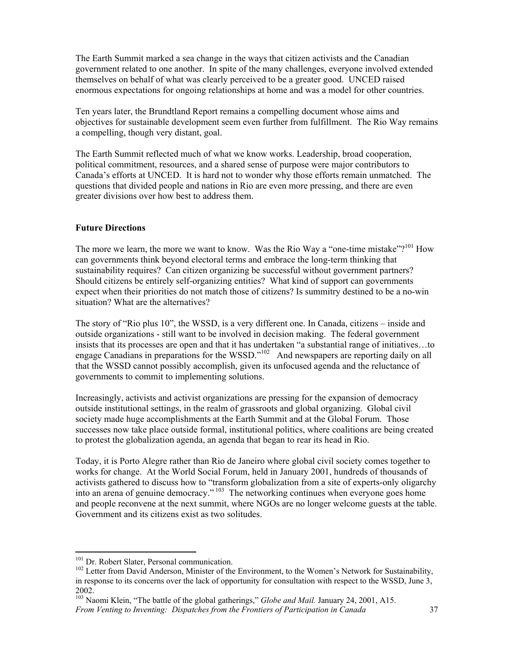The Earth Summit marked a sea change in the ways that citizen activists and the Canadian government related to one another. In spite of the many challenges, everyone involved extended themselves on behalf of what was clearly perceived to be a greater good. UNCED raised enormous expectations for ongoing relationships at home and was a model for other countries.

Ten years later, the Brundtland Report remains a compelling document whose aims and objectives for sustainable development seem even further from fulfillment. The Rio Way remains a compelling, though very distant, goal.

The Earth Summit reflected much of what we know works. Leadership, broad cooperation, political commitment, resources, and a shared sense of purpose were major contributors to Canada's efforts at UNCED. It is hard not to wonder why those efforts remain unmatched. The questions that divided people and nations in Rio are even more pressing, and there are even greater divisions over how best to address them.

#### **Future Directions**

The more we learn, the more we want to know. Was the Rio Way a "one-time mistake"?<sup>101</sup> How can governments think beyond electoral terms and embrace the long-term thinking that sustainability requires? Can citizen organizing be successful without government partners? Should citizens be entirely self-organizing entities? What kind of support can governments expect when their priorities do not match those of citizens? Is summitry destined to be a no-win situation? What are the alternatives?

The story of "Rio plus 10", the WSSD, is a very different one. In Canada, citizens – inside and outside organizations - still want to be involved in decision making. The federal government insists that its processes are open and that it has undertaken "a substantial range of initiatives…to engage Canadians in preparations for the WSSD."<sup>102</sup> And newspapers are reporting daily on all that the WSSD cannot possibly accomplish, given its unfocused agenda and the reluctance of governments to commit to implementing solutions.

Increasingly, activists and activist organizations are pressing for the expansion of democracy outside institutional settings, in the realm of grassroots and global organizing. Global civil society made huge accomplishments at the Earth Summit and at the Global Forum. Those successes now take place outside formal, institutional politics, where coalitions are being created to protest the globalization agenda, an agenda that began to rear its head in Rio.

Today, it is Porto Alegre rather than Rio de Janeiro where global civil society comes together to works for change. At the World Social Forum, held in January 2001, hundreds of thousands of activists gathered to discuss how to "transform globalization from a site of experts-only oligarchy into an arena of genuine democracy." 103 The networking continues when everyone goes home and people reconvene at the next summit, where NGOs are no longer welcome guests at the table. Government and its citizens exist as two solitudes.

<sup>&</sup>lt;sup>101</sup> Dr. Robert Slater, Personal communication.<br><sup>102</sup> Letter from David Anderson, Minister of the Environment, to the Women's Network for Sustainability, in response to its concerns over the lack of opportunity for consultation with respect to the WSSD, June 3, 2002.

*From Venting to Inventing: Dispatches from the Frontiers of Participation in Canada* 37 103 Naomi Klein, "The battle of the global gatherings," *Globe and Mail.* January 24, 2001, A15.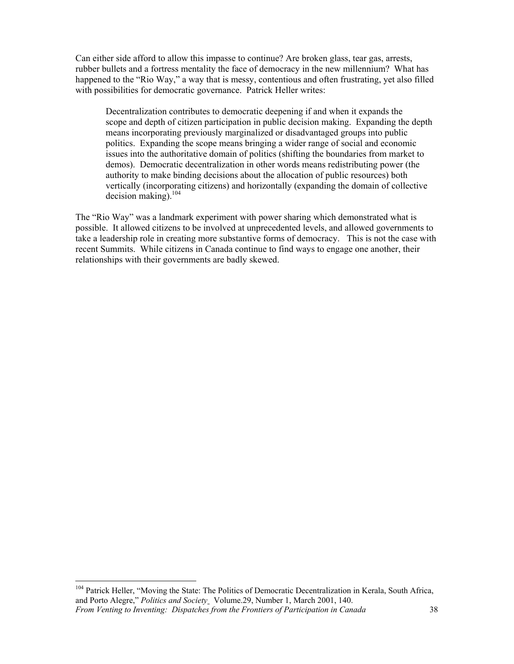Can either side afford to allow this impasse to continue? Are broken glass, tear gas, arrests, rubber bullets and a fortress mentality the face of democracy in the new millennium? What has happened to the "Rio Way," a way that is messy, contentious and often frustrating, yet also filled with possibilities for democratic governance. Patrick Heller writes:

Decentralization contributes to democratic deepening if and when it expands the scope and depth of citizen participation in public decision making. Expanding the depth means incorporating previously marginalized or disadvantaged groups into public politics. Expanding the scope means bringing a wider range of social and economic issues into the authoritative domain of politics (shifting the boundaries from market to demos). Democratic decentralization in other words means redistributing power (the authority to make binding decisions about the allocation of public resources) both vertically (incorporating citizens) and horizontally (expanding the domain of collective  $decision$  making).<sup>104</sup>

The "Rio Way" was a landmark experiment with power sharing which demonstrated what is possible. It allowed citizens to be involved at unprecedented levels, and allowed governments to take a leadership role in creating more substantive forms of democracy. This is not the case with recent Summits. While citizens in Canada continue to find ways to engage one another, their relationships with their governments are badly skewed.

*From Venting to Inventing: Dispatches from the Frontiers of Participation in Canada* 38 <sup>104</sup> Patrick Heller, "Moving the State: The Politics of Democratic Decentralization in Kerala, South Africa, and Porto Alegre," *Politics and Society* Volume.29, Number 1, March 2001, 140.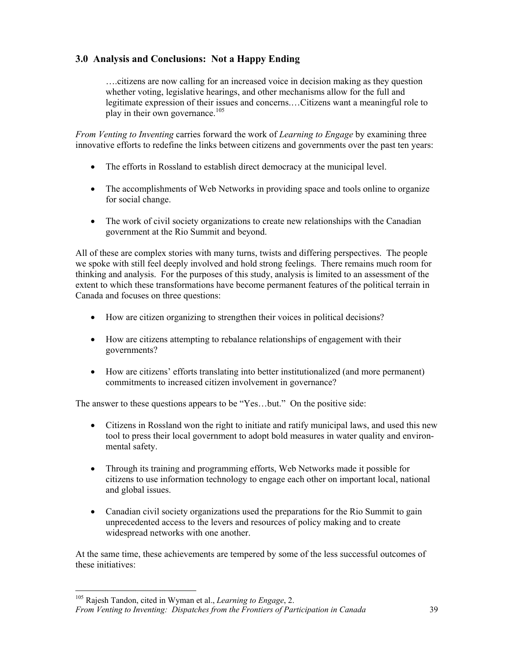## **3.0 Analysis and Conclusions: Not a Happy Ending**

….citizens are now calling for an increased voice in decision making as they question whether voting, legislative hearings, and other mechanisms allow for the full and legitimate expression of their issues and concerns.…Citizens want a meaningful role to play in their own governance.<sup>105</sup>

*From Venting to Inventing* carries forward the work of *Learning to Engage* by examining three innovative efforts to redefine the links between citizens and governments over the past ten years:

- The efforts in Rossland to establish direct democracy at the municipal level.
- The accomplishments of Web Networks in providing space and tools online to organize for social change.
- The work of civil society organizations to create new relationships with the Canadian government at the Rio Summit and beyond.

All of these are complex stories with many turns, twists and differing perspectives. The people we spoke with still feel deeply involved and hold strong feelings. There remains much room for thinking and analysis. For the purposes of this study, analysis is limited to an assessment of the extent to which these transformations have become permanent features of the political terrain in Canada and focuses on three questions:

- How are citizen organizing to strengthen their voices in political decisions?
- How are citizens attempting to rebalance relationships of engagement with their governments?
- How are citizens' efforts translating into better institutionalized (and more permanent) commitments to increased citizen involvement in governance?

The answer to these questions appears to be "Yes…but." On the positive side:

- Citizens in Rossland won the right to initiate and ratify municipal laws, and used this new tool to press their local government to adopt bold measures in water quality and environmental safety.
- Through its training and programming efforts, Web Networks made it possible for citizens to use information technology to engage each other on important local, national and global issues.
- Canadian civil society organizations used the preparations for the Rio Summit to gain unprecedented access to the levers and resources of policy making and to create widespread networks with one another.

At the same time, these achievements are tempered by some of the less successful outcomes of these initiatives:

<sup>105</sup> Rajesh Tandon, cited in Wyman et al., *Learning to Engage*, 2.

*From Venting to Inventing: Dispatches from the Frontiers of Participation in Canada* 39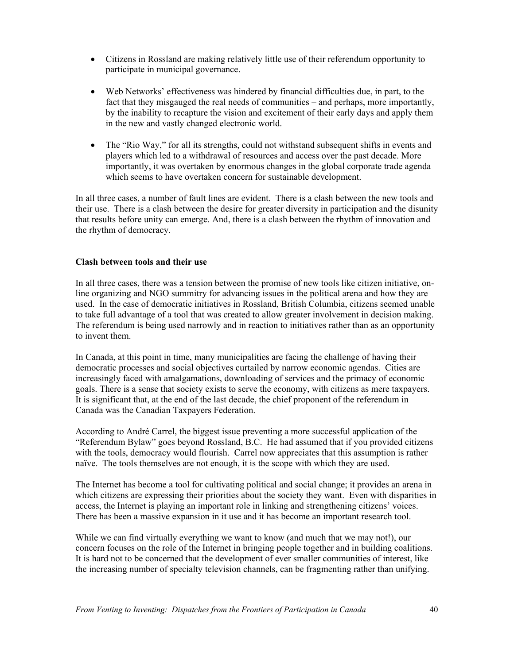- Citizens in Rossland are making relatively little use of their referendum opportunity to participate in municipal governance.
- Web Networks' effectiveness was hindered by financial difficulties due, in part, to the fact that they misgauged the real needs of communities – and perhaps, more importantly, by the inability to recapture the vision and excitement of their early days and apply them in the new and vastly changed electronic world.
- The "Rio Way," for all its strengths, could not withstand subsequent shifts in events and players which led to a withdrawal of resources and access over the past decade. More importantly, it was overtaken by enormous changes in the global corporate trade agenda which seems to have overtaken concern for sustainable development.

In all three cases, a number of fault lines are evident. There is a clash between the new tools and their use. There is a clash between the desire for greater diversity in participation and the disunity that results before unity can emerge. And, there is a clash between the rhythm of innovation and the rhythm of democracy.

#### **Clash between tools and their use**

In all three cases, there was a tension between the promise of new tools like citizen initiative, online organizing and NGO summitry for advancing issues in the political arena and how they are used. In the case of democratic initiatives in Rossland, British Columbia, citizens seemed unable to take full advantage of a tool that was created to allow greater involvement in decision making. The referendum is being used narrowly and in reaction to initiatives rather than as an opportunity to invent them.

In Canada, at this point in time, many municipalities are facing the challenge of having their democratic processes and social objectives curtailed by narrow economic agendas. Cities are increasingly faced with amalgamations, downloading of services and the primacy of economic goals. There is a sense that society exists to serve the economy, with citizens as mere taxpayers. It is significant that, at the end of the last decade, the chief proponent of the referendum in Canada was the Canadian Taxpayers Federation.

According to André Carrel, the biggest issue preventing a more successful application of the "Referendum Bylaw" goes beyond Rossland, B.C. He had assumed that if you provided citizens with the tools, democracy would flourish. Carrel now appreciates that this assumption is rather naïve. The tools themselves are not enough, it is the scope with which they are used.

The Internet has become a tool for cultivating political and social change; it provides an arena in which citizens are expressing their priorities about the society they want. Even with disparities in access, the Internet is playing an important role in linking and strengthening citizens' voices. There has been a massive expansion in it use and it has become an important research tool.

While we can find virtually everything we want to know (and much that we may not!), our concern focuses on the role of the Internet in bringing people together and in building coalitions. It is hard not to be concerned that the development of ever smaller communities of interest, like the increasing number of specialty television channels, can be fragmenting rather than unifying.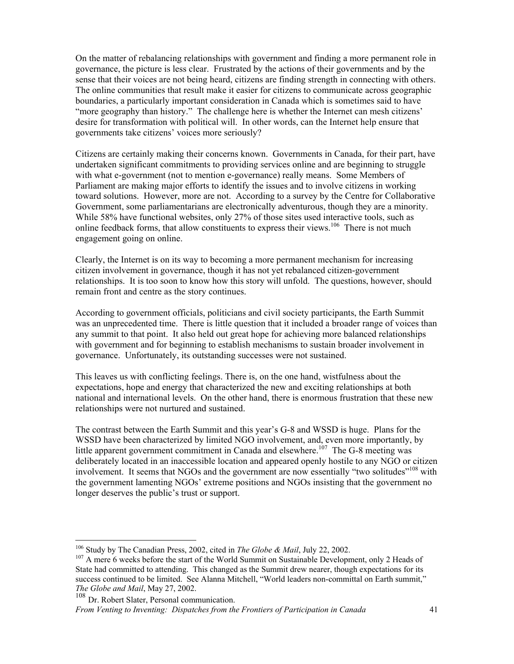On the matter of rebalancing relationships with government and finding a more permanent role in governance, the picture is less clear. Frustrated by the actions of their governments and by the sense that their voices are not being heard, citizens are finding strength in connecting with others. The online communities that result make it easier for citizens to communicate across geographic boundaries, a particularly important consideration in Canada which is sometimes said to have "more geography than history." The challenge here is whether the Internet can mesh citizens' desire for transformation with political will. In other words, can the Internet help ensure that governments take citizens' voices more seriously?

Citizens are certainly making their concerns known. Governments in Canada, for their part, have undertaken significant commitments to providing services online and are beginning to struggle with what e-government (not to mention e-governance) really means. Some Members of Parliament are making major efforts to identify the issues and to involve citizens in working toward solutions. However, more are not. According to a survey by the Centre for Collaborative Government, some parliamentarians are electronically adventurous, though they are a minority. While 58% have functional websites, only 27% of those sites used interactive tools, such as online feedback forms, that allow constituents to express their views.<sup>106</sup> There is not much engagement going on online.

Clearly, the Internet is on its way to becoming a more permanent mechanism for increasing citizen involvement in governance, though it has not yet rebalanced citizen-government relationships. It is too soon to know how this story will unfold. The questions, however, should remain front and centre as the story continues.

According to government officials, politicians and civil society participants, the Earth Summit was an unprecedented time. There is little question that it included a broader range of voices than any summit to that point. It also held out great hope for achieving more balanced relationships with government and for beginning to establish mechanisms to sustain broader involvement in governance. Unfortunately, its outstanding successes were not sustained.

This leaves us with conflicting feelings. There is, on the one hand, wistfulness about the expectations, hope and energy that characterized the new and exciting relationships at both national and international levels. On the other hand, there is enormous frustration that these new relationships were not nurtured and sustained.

The contrast between the Earth Summit and this year's G-8 and WSSD is huge. Plans for the WSSD have been characterized by limited NGO involvement, and, even more importantly, by little apparent government commitment in Canada and elsewhere.<sup>107</sup> The G-8 meeting was deliberately located in an inaccessible location and appeared openly hostile to any NGO or citizen involvement. It seems that NGOs and the government are now essentially "two solitudes"<sup>108</sup> with the government lamenting NGOs' extreme positions and NGOs insisting that the government no longer deserves the public's trust or support.

<sup>&</sup>lt;sup>106</sup> Study by The Canadian Press, 2002, cited in *The Globe & Mail*, July 22, 2002.

<sup>&</sup>lt;sup>107</sup> A mere 6 weeks before the start of the World Summit on Sustainable Development, only 2 Heads of State had committed to attending. This changed as the Summit drew nearer, though expectations for its success continued to be limited. See Alanna Mitchell, "World leaders non-committal on Earth summit," *The Globe and Mail*, May 27, 2002.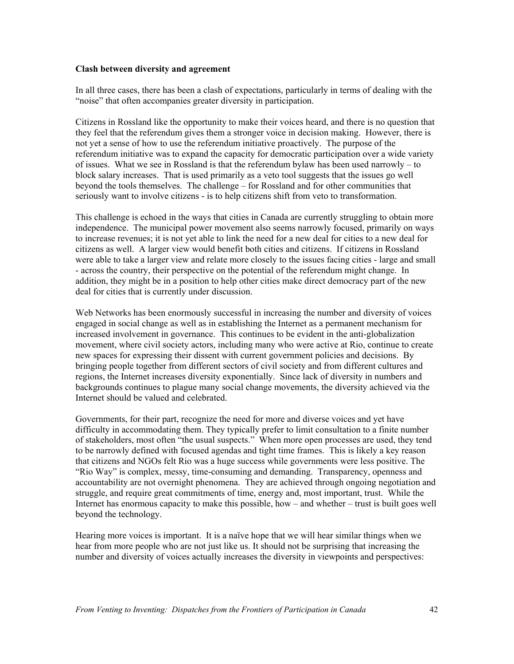#### **Clash between diversity and agreement**

In all three cases, there has been a clash of expectations, particularly in terms of dealing with the "noise" that often accompanies greater diversity in participation.

Citizens in Rossland like the opportunity to make their voices heard, and there is no question that they feel that the referendum gives them a stronger voice in decision making. However, there is not yet a sense of how to use the referendum initiative proactively. The purpose of the referendum initiative was to expand the capacity for democratic participation over a wide variety of issues. What we see in Rossland is that the referendum bylaw has been used narrowly – to block salary increases. That is used primarily as a veto tool suggests that the issues go well beyond the tools themselves. The challenge – for Rossland and for other communities that seriously want to involve citizens - is to help citizens shift from veto to transformation.

This challenge is echoed in the ways that cities in Canada are currently struggling to obtain more independence. The municipal power movement also seems narrowly focused, primarily on ways to increase revenues; it is not yet able to link the need for a new deal for cities to a new deal for citizens as well. A larger view would benefit both cities and citizens. If citizens in Rossland were able to take a larger view and relate more closely to the issues facing cities - large and small - across the country, their perspective on the potential of the referendum might change. In addition, they might be in a position to help other cities make direct democracy part of the new deal for cities that is currently under discussion.

Web Networks has been enormously successful in increasing the number and diversity of voices engaged in social change as well as in establishing the Internet as a permanent mechanism for increased involvement in governance. This continues to be evident in the anti-globalization movement, where civil society actors, including many who were active at Rio, continue to create new spaces for expressing their dissent with current government policies and decisions. By bringing people together from different sectors of civil society and from different cultures and regions, the Internet increases diversity exponentially. Since lack of diversity in numbers and backgrounds continues to plague many social change movements, the diversity achieved via the Internet should be valued and celebrated.

Governments, for their part, recognize the need for more and diverse voices and yet have difficulty in accommodating them. They typically prefer to limit consultation to a finite number of stakeholders, most often "the usual suspects." When more open processes are used, they tend to be narrowly defined with focused agendas and tight time frames. This is likely a key reason that citizens and NGOs felt Rio was a huge success while governments were less positive. The "Rio Way" is complex, messy, time-consuming and demanding. Transparency, openness and accountability are not overnight phenomena. They are achieved through ongoing negotiation and struggle, and require great commitments of time, energy and, most important, trust. While the Internet has enormous capacity to make this possible, how – and whether – trust is built goes well beyond the technology.

Hearing more voices is important. It is a naïve hope that we will hear similar things when we hear from more people who are not just like us. It should not be surprising that increasing the number and diversity of voices actually increases the diversity in viewpoints and perspectives: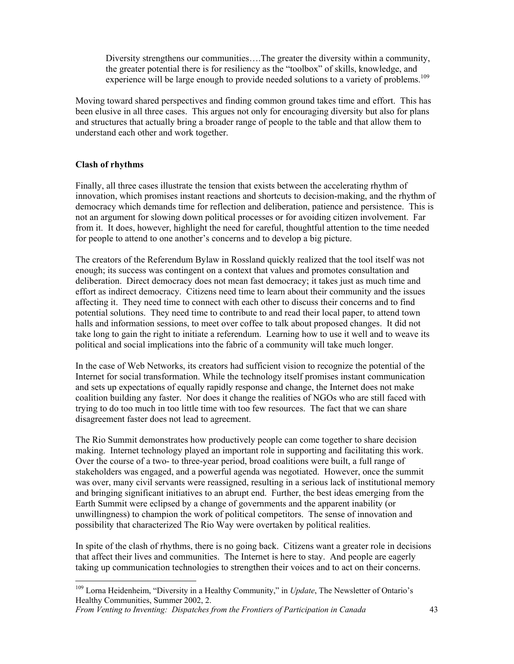Diversity strengthens our communities….The greater the diversity within a community, the greater potential there is for resiliency as the "toolbox" of skills, knowledge, and experience will be large enough to provide needed solutions to a variety of problems.<sup>109</sup>

Moving toward shared perspectives and finding common ground takes time and effort. This has been elusive in all three cases. This argues not only for encouraging diversity but also for plans and structures that actually bring a broader range of people to the table and that allow them to understand each other and work together.

#### **Clash of rhythms**

 $\overline{a}$ 

Finally, all three cases illustrate the tension that exists between the accelerating rhythm of innovation, which promises instant reactions and shortcuts to decision-making, and the rhythm of democracy which demands time for reflection and deliberation, patience and persistence. This is not an argument for slowing down political processes or for avoiding citizen involvement. Far from it. It does, however, highlight the need for careful, thoughtful attention to the time needed for people to attend to one another's concerns and to develop a big picture.

The creators of the Referendum Bylaw in Rossland quickly realized that the tool itself was not enough; its success was contingent on a context that values and promotes consultation and deliberation. Direct democracy does not mean fast democracy; it takes just as much time and effort as indirect democracy. Citizens need time to learn about their community and the issues affecting it. They need time to connect with each other to discuss their concerns and to find potential solutions. They need time to contribute to and read their local paper, to attend town halls and information sessions, to meet over coffee to talk about proposed changes. It did not take long to gain the right to initiate a referendum. Learning how to use it well and to weave its political and social implications into the fabric of a community will take much longer.

In the case of Web Networks, its creators had sufficient vision to recognize the potential of the Internet for social transformation. While the technology itself promises instant communication and sets up expectations of equally rapidly response and change, the Internet does not make coalition building any faster. Nor does it change the realities of NGOs who are still faced with trying to do too much in too little time with too few resources. The fact that we can share disagreement faster does not lead to agreement.

The Rio Summit demonstrates how productively people can come together to share decision making. Internet technology played an important role in supporting and facilitating this work. Over the course of a two- to three-year period, broad coalitions were built, a full range of stakeholders was engaged, and a powerful agenda was negotiated. However, once the summit was over, many civil servants were reassigned, resulting in a serious lack of institutional memory and bringing significant initiatives to an abrupt end. Further, the best ideas emerging from the Earth Summit were eclipsed by a change of governments and the apparent inability (or unwillingness) to champion the work of political competitors. The sense of innovation and possibility that characterized The Rio Way were overtaken by political realities.

In spite of the clash of rhythms, there is no going back. Citizens want a greater role in decisions that affect their lives and communities. The Internet is here to stay. And people are eagerly taking up communication technologies to strengthen their voices and to act on their concerns.

<sup>109</sup> Lorna Heidenheim, "Diversity in a Healthy Community," in *Update*, The Newsletter of Ontario's Healthy Communities, Summer 2002, 2.

*From Venting to Inventing: Dispatches from the Frontiers of Participation in Canada* 43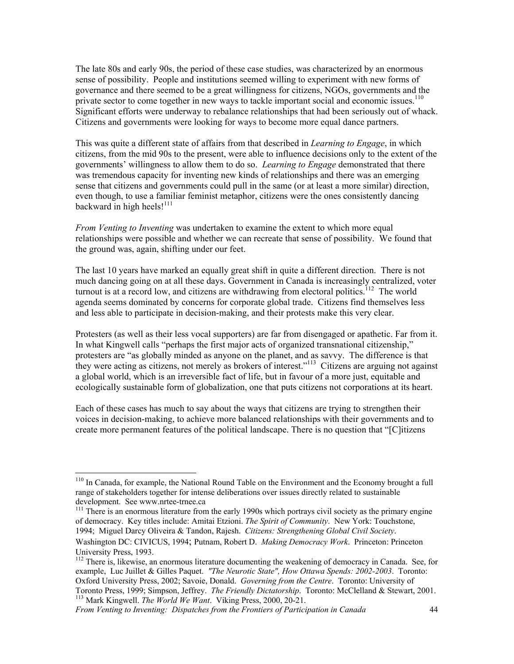The late 80s and early 90s, the period of these case studies, was characterized by an enormous sense of possibility. People and institutions seemed willing to experiment with new forms of governance and there seemed to be a great willingness for citizens, NGOs, governments and the private sector to come together in new ways to tackle important social and economic issues.<sup>110</sup> Significant efforts were underway to rebalance relationships that had been seriously out of whack. Citizens and governments were looking for ways to become more equal dance partners.

This was quite a different state of affairs from that described in *Learning to Engage*, in which citizens, from the mid 90s to the present, were able to influence decisions only to the extent of the governments' willingness to allow them to do so. *Learning to Engage* demonstrated that there was tremendous capacity for inventing new kinds of relationships and there was an emerging sense that citizens and governments could pull in the same (or at least a more similar) direction, even though, to use a familiar feminist metaphor, citizens were the ones consistently dancing backward in high heels!<sup>111</sup>

*From Venting to Inventing* was undertaken to examine the extent to which more equal relationships were possible and whether we can recreate that sense of possibility. We found that the ground was, again, shifting under our feet.

The last 10 years have marked an equally great shift in quite a different direction. There is not much dancing going on at all these days. Government in Canada is increasingly centralized, voter turnout is at a record low, and citizens are withdrawing from electoral politics.<sup>112</sup> The world agenda seems dominated by concerns for corporate global trade. Citizens find themselves less and less able to participate in decision-making, and their protests make this very clear.

Protesters (as well as their less vocal supporters) are far from disengaged or apathetic. Far from it. In what Kingwell calls "perhaps the first major acts of organized transnational citizenship," protesters are "as globally minded as anyone on the planet, and as savvy. The difference is that they were acting as citizens, not merely as brokers of interest.<sup>"113</sup> Citizens are arguing not against a global world, which is an irreversible fact of life, but in favour of a more just, equitable and ecologically sustainable form of globalization, one that puts citizens not corporations at its heart.

Each of these cases has much to say about the ways that citizens are trying to strengthen their voices in decision-making, to achieve more balanced relationships with their governments and to create more permanent features of the political landscape. There is no question that "[C]itizens

of democracy. Key titles include: Amitai Etzioni. *The Spirit of Community*. New York: Touchstone, 1994; Miguel Darcy Oliveira & Tandon, Rajesh. *Citizens: Strengthening Global Civil Society*.

*From Venting to Inventing: Dispatches from the Frontiers of Participation in Canada* 44

 $110$  In Canada, for example, the National Round Table on the Environment and the Economy brought a full range of stakeholders together for intense deliberations over issues directly related to sustainable development. See www.nrtee-trnee.ca<br><sup>111</sup> There is an enormous literature from the early 1990s which portrays civil society as the primary engine

Washington DC: CIVICUS, 1994; Putnam, Robert D. *Making Democracy Work*. Princeton: Princeton University Press, 1993.

<sup>&</sup>lt;sup>112</sup> There is, likewise, an enormous literature documenting the weakening of democracy in Canada. See, for example, Luc Juillet & Gilles Paquet. *"The Neurotic State", How Ottawa Spends: 2002-2003*. Toronto: Oxford University Press, 2002; Savoie, Donald. *Governing from the Centre*. Toronto: University of Toronto Press, 1999; Simpson, Jeffrey. *The Friendly Dictatorship*. Toronto: McClelland & Stewart, 2001. 113 Mark Kingwell. *The World We Want*. Viking Press, 2000, 20-21.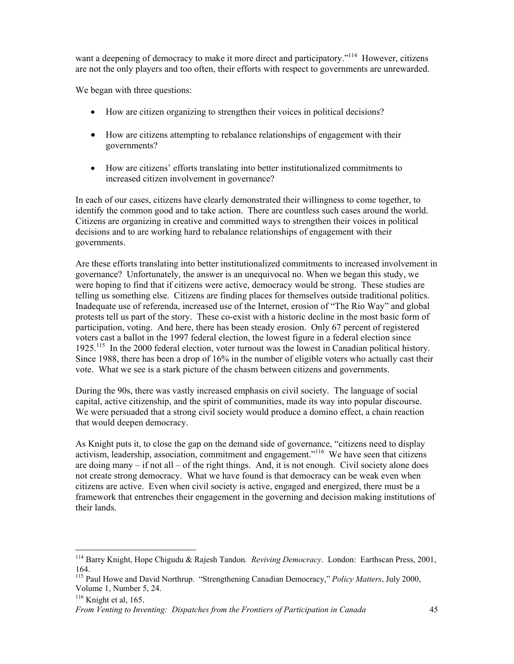want a deepening of democracy to make it more direct and participatory."<sup>114</sup> However, citizens are not the only players and too often, their efforts with respect to governments are unrewarded.

We began with three questions:

- How are citizen organizing to strengthen their voices in political decisions?
- How are citizens attempting to rebalance relationships of engagement with their governments?
- How are citizens' efforts translating into better institutionalized commitments to increased citizen involvement in governance?

In each of our cases, citizens have clearly demonstrated their willingness to come together, to identify the common good and to take action. There are countless such cases around the world. Citizens are organizing in creative and committed ways to strengthen their voices in political decisions and to are working hard to rebalance relationships of engagement with their governments.

Are these efforts translating into better institutionalized commitments to increased involvement in governance? Unfortunately, the answer is an unequivocal no. When we began this study, we were hoping to find that if citizens were active, democracy would be strong. These studies are telling us something else. Citizens are finding places for themselves outside traditional politics. Inadequate use of referenda, increased use of the Internet, erosion of "The Rio Way" and global protests tell us part of the story. These co-exist with a historic decline in the most basic form of participation, voting. And here, there has been steady erosion. Only 67 percent of registered voters cast a ballot in the 1997 federal election, the lowest figure in a federal election since 1925.<sup>115</sup> In the 2000 federal election, voter turnout was the lowest in Canadian political history. Since 1988, there has been a drop of 16% in the number of eligible voters who actually cast their vote. What we see is a stark picture of the chasm between citizens and governments.

During the 90s, there was vastly increased emphasis on civil society. The language of social capital, active citizenship, and the spirit of communities, made its way into popular discourse. We were persuaded that a strong civil society would produce a domino effect, a chain reaction that would deepen democracy.

As Knight puts it, to close the gap on the demand side of governance, "citizens need to display activism, leadership, association, commitment and engagement."116 We have seen that citizens are doing many  $-$  if not all  $-$  of the right things. And, it is not enough. Civil society alone does not create strong democracy. What we have found is that democracy can be weak even when citizens are active. Even when civil society is active, engaged and energized, there must be a framework that entrenches their engagement in the governing and decision making institutions of their lands.

<sup>114</sup> Barry Knight, Hope Chigudu & Rajesh Tandon*. Reviving Democracy*. London: Earthscan Press, 2001, 164.

<sup>115</sup> Paul Howe and David Northrup. "Strengthening Canadian Democracy," *Policy Matters*, July 2000, Volume 1, Number 5, 24.

 $116$  Knight et al, 165.

*From Venting to Inventing: Dispatches from the Frontiers of Participation in Canada* 45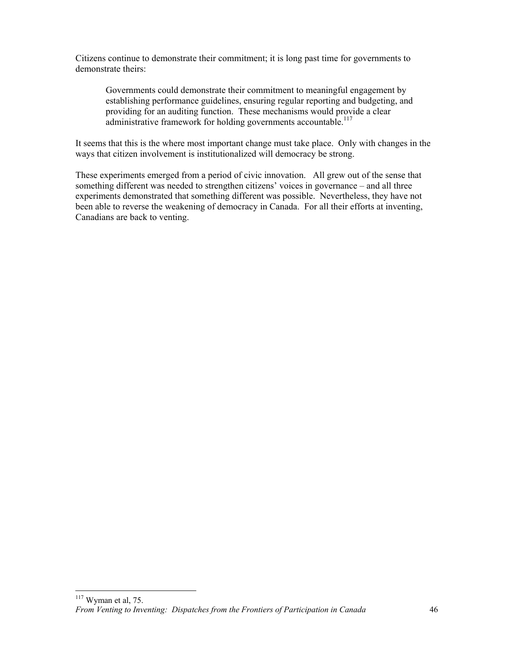Citizens continue to demonstrate their commitment; it is long past time for governments to demonstrate theirs:

Governments could demonstrate their commitment to meaningful engagement by establishing performance guidelines, ensuring regular reporting and budgeting, and providing for an auditing function. These mechanisms would provide a clear administrative framework for holding governments accountable.<sup>117</sup>

It seems that this is the where most important change must take place. Only with changes in the ways that citizen involvement is institutionalized will democracy be strong.

These experiments emerged from a period of civic innovation. All grew out of the sense that something different was needed to strengthen citizens' voices in governance – and all three experiments demonstrated that something different was possible. Nevertheless, they have not been able to reverse the weakening of democracy in Canada. For all their efforts at inventing, Canadians are back to venting.

*From Venting to Inventing: Dispatches from the Frontiers of Participation in Canada* 46  $117$  Wyman et al, 75.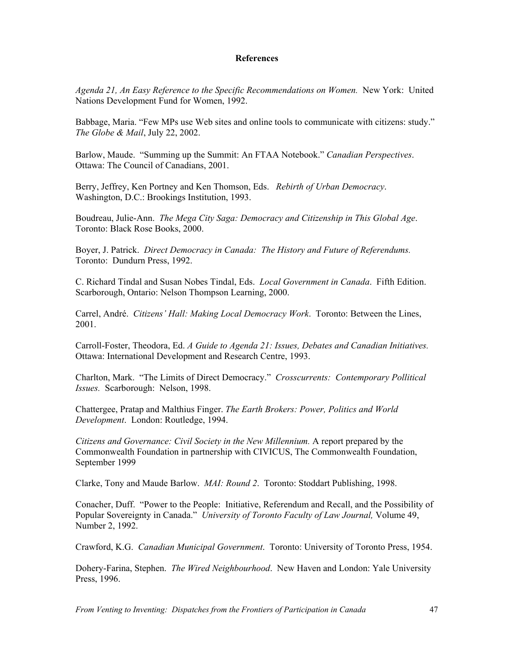#### **References**

*Agenda 21, An Easy Reference to the Specific Recommendations on Women.* New York: United Nations Development Fund for Women, 1992.

Babbage, Maria. "Few MPs use Web sites and online tools to communicate with citizens: study." *The Globe & Mail*, July 22, 2002.

Barlow, Maude. "Summing up the Summit: An FTAA Notebook." *Canadian Perspectives*. Ottawa: The Council of Canadians, 2001.

Berry, Jeffrey, Ken Portney and Ken Thomson, Eds. *Rebirth of Urban Democracy*. Washington, D.C.: Brookings Institution, 1993.

Boudreau, Julie-Ann. *The Mega City Saga: Democracy and Citizenship in This Global Age*. Toronto: Black Rose Books, 2000.

Boyer, J. Patrick. *Direct Democracy in Canada: The History and Future of Referendums.* Toronto: Dundurn Press, 1992.

C. Richard Tindal and Susan Nobes Tindal, Eds. *Local Government in Canada*. Fifth Edition. Scarborough, Ontario: Nelson Thompson Learning, 2000.

Carrel, André. *Citizens' Hall: Making Local Democracy Work*. Toronto: Between the Lines, 2001.

Carroll-Foster, Theodora, Ed. *A Guide to Agenda 21: Issues, Debates and Canadian Initiatives.*  Ottawa: International Development and Research Centre, 1993.

Charlton, Mark. "The Limits of Direct Democracy." *Crosscurrents: Contemporary Pollitical Issues.* Scarborough: Nelson, 1998.

Chattergee, Pratap and Malthius Finger. *The Earth Brokers: Power, Politics and World Development*. London: Routledge, 1994.

*Citizens and Governance: Civil Society in the New Millennium.* A report prepared by the Commonwealth Foundation in partnership with CIVICUS, The Commonwealth Foundation, September 1999

Clarke, Tony and Maude Barlow. *MAI: Round 2*. Toronto: Stoddart Publishing, 1998.

Conacher, Duff. "Power to the People: Initiative, Referendum and Recall, and the Possibility of Popular Sovereignty in Canada." *University of Toronto Faculty of Law Journal,* Volume 49, Number 2, 1992.

Crawford, K.G. *Canadian Municipal Government*. Toronto: University of Toronto Press, 1954.

Dohery-Farina, Stephen. *The Wired Neighbourhood*. New Haven and London: Yale University Press, 1996.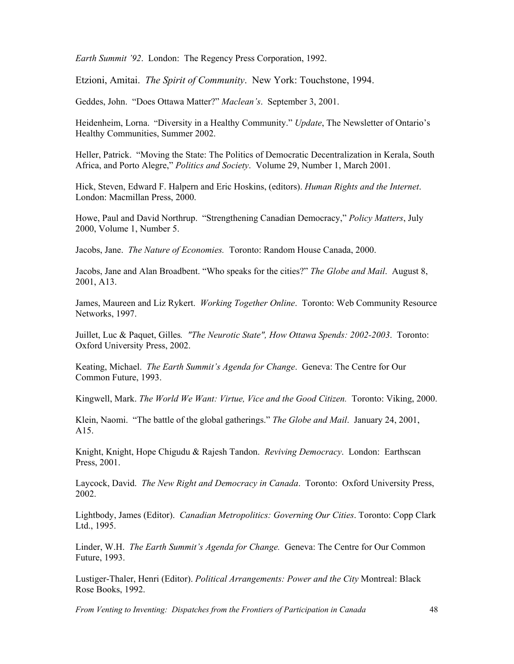*Earth Summit '92*. London: The Regency Press Corporation, 1992.

Etzioni, Amitai. *The Spirit of Community*. New York: Touchstone, 1994.

Geddes, John. "Does Ottawa Matter?" *Maclean's*. September 3, 2001.

Heidenheim, Lorna. "Diversity in a Healthy Community." *Update*, The Newsletter of Ontario's Healthy Communities, Summer 2002.

Heller, Patrick. "Moving the State: The Politics of Democratic Decentralization in Kerala, South Africa, and Porto Alegre," *Politics and Society*. Volume 29, Number 1, March 2001.

Hick, Steven, Edward F. Halpern and Eric Hoskins, (editors). *Human Rights and the Internet*. London: Macmillan Press, 2000.

Howe, Paul and David Northrup. "Strengthening Canadian Democracy," *Policy Matters*, July 2000, Volume 1, Number 5.

Jacobs, Jane. *The Nature of Economies.* Toronto: Random House Canada, 2000.

Jacobs, Jane and Alan Broadbent. "Who speaks for the cities?" *The Globe and Mail*. August 8, 2001, A13.

James, Maureen and Liz Rykert. *Working Together Online*. Toronto: Web Community Resource Networks, 1997.

Juillet, Luc & Paquet, Gilles*. "The Neurotic State", How Ottawa Spends: 2002-2003*. Toronto: Oxford University Press, 2002.

Keating, Michael. *The Earth Summit's Agenda for Change*. Geneva: The Centre for Our Common Future, 1993.

Kingwell, Mark. *The World We Want: Virtue, Vice and the Good Citizen.* Toronto: Viking, 2000.

Klein, Naomi. "The battle of the global gatherings." *The Globe and Mail*. January 24, 2001, A15.

Knight, Knight, Hope Chigudu & Rajesh Tandon. *Reviving Democracy*. London: Earthscan Press, 2001.

Laycock, David. *The New Right and Democracy in Canada*. Toronto: Oxford University Press, 2002.

Lightbody, James (Editor). *Canadian Metropolitics: Governing Our Cities*. Toronto: Copp Clark Ltd., 1995.

Linder, W.H. *The Earth Summit's Agenda for Change.* Geneva: The Centre for Our Common Future, 1993.

Lustiger-Thaler, Henri (Editor). *Political Arrangements: Power and the City* Montreal: Black Rose Books, 1992.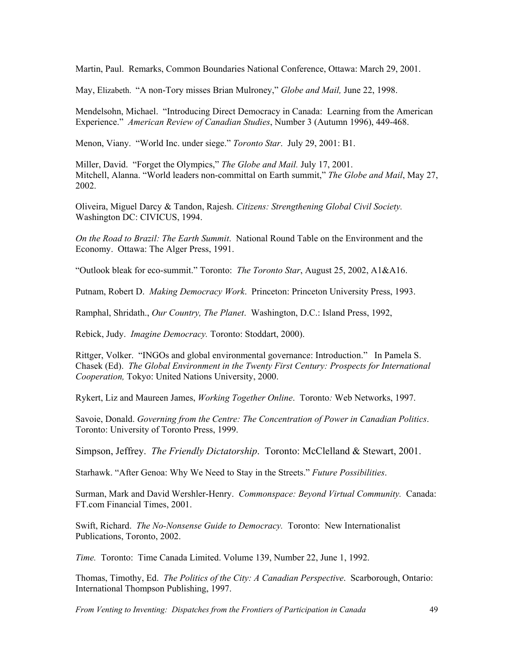Martin, Paul. Remarks, Common Boundaries National Conference, Ottawa: March 29, 2001.

May, Elizabeth. "A non-Tory misses Brian Mulroney," *Globe and Mail,* June 22, 1998.

Mendelsohn, Michael. "Introducing Direct Democracy in Canada: Learning from the American Experience." *American Review of Canadian Studies*, Number 3 (Autumn 1996), 449-468.

Menon, Viany. "World Inc. under siege." *Toronto Star*. July 29, 2001: B1.

Miller, David. "Forget the Olympics," *The Globe and Mail.* July 17, 2001. Mitchell, Alanna. "World leaders non-committal on Earth summit," *The Globe and Mail*, May 27, 2002.

Oliveira, Miguel Darcy & Tandon, Rajesh. *Citizens: Strengthening Global Civil Society.* Washington DC: CIVICUS, 1994.

*On the Road to Brazil: The Earth Summit*. National Round Table on the Environment and the Economy. Ottawa: The Alger Press, 1991.

"Outlook bleak for eco-summit." Toronto: *The Toronto Star*, August 25, 2002, A1&A16.

Putnam, Robert D. *Making Democracy Work*. Princeton: Princeton University Press, 1993.

Ramphal, Shridath., *Our Country, The Planet*. Washington, D.C.: Island Press, 1992,

Rebick, Judy. *Imagine Democracy.* Toronto: Stoddart, 2000).

Rittger, Volker. "INGOs and global environmental governance: Introduction." In Pamela S. Chasek (Ed). *The Global Environment in the Twenty First Century: Prospects for International Cooperation,* Tokyo: United Nations University, 2000.

Rykert, Liz and Maureen James, *Working Together Online*. Toronto*:* Web Networks, 1997.

Savoie, Donald. *Governing from the Centre: The Concentration of Power in Canadian Politics*. Toronto: University of Toronto Press, 1999.

Simpson, Jeffrey. *The Friendly Dictatorship*. Toronto: McClelland & Stewart, 2001.

Starhawk. "After Genoa: Why We Need to Stay in the Streets." *Future Possibilities*.

Surman, Mark and David Wershler-Henry. *Commonspace: Beyond Virtual Community.* Canada: FT.com Financial Times, 2001.

Swift, Richard. *The No-Nonsense Guide to Democracy.* Toronto: New Internationalist Publications, Toronto, 2002.

*Time.* Toronto: Time Canada Limited. Volume 139, Number 22, June 1, 1992.

Thomas, Timothy, Ed. *The Politics of the City: A Canadian Perspective*. Scarborough, Ontario: International Thompson Publishing, 1997.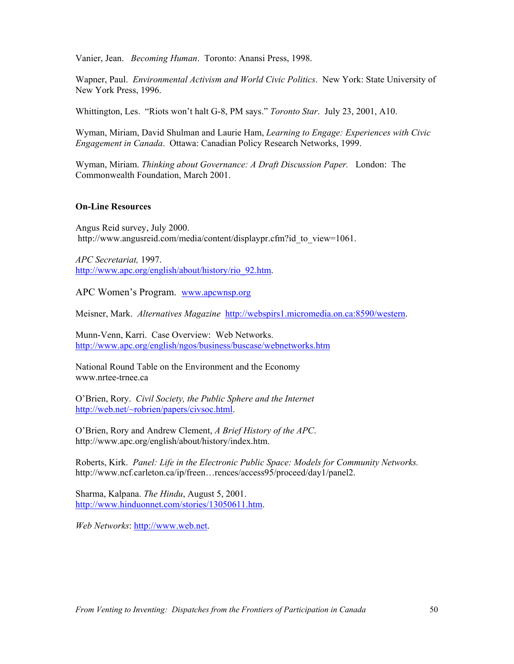Vanier, Jean. *Becoming Human*. Toronto: Anansi Press, 1998.

Wapner, Paul. *Environmental Activism and World Civic Politics*. New York: State University of New York Press, 1996.

Whittington, Les. "Riots won't halt G-8, PM says." *Toronto Star*. July 23, 2001, A10.

Wyman, Miriam, David Shulman and Laurie Ham, *Learning to Engage: Experiences with Civic Engagement in Canada*. Ottawa: Canadian Policy Research Networks, 1999.

Wyman, Miriam. *Thinking about Governance: A Draft Discussion Paper.* London: The Commonwealth Foundation, March 2001.

#### **On-Line Resources**

Angus Reid survey, July 2000. http://www.angusreid.com/media/content/displaypr.cfm?id\_to\_view=1061.

*APC Secretariat,* 1997. http://www.apc.org/english/about/history/rio\_92.htm.

APC Women's Program. www.apcwnsp.org

Meisner, Mark. *Alternatives Magazine* http://webspirs1.micromedia.on.ca:8590/western.

Munn-Venn, Karri. Case Overview: Web Networks. http://www.apc.org/english/ngos/business/buscase/webnetworks.htm

National Round Table on the Environment and the Economy www.nrtee-trnee.ca

O'Brien, Rory. *Civil Society, the Public Sphere and the Internet*  http://web.net/~robrien/papers/civsoc.html.

O'Brien, Rory and Andrew Clement, *A Brief History of the APC*. http://www.apc.org/english/about/history/index.htm.

Roberts, Kirk. *Panel: Life in the Electronic Public Space: Models for Community Networks.* http://www.ncf.carleton.ca/ip/freen…rences/access95/proceed/day1/panel2.

Sharma, Kalpana. *The Hindu*, August 5, 2001. http://www.hinduonnet.com/stories/13050611.htm.

*Web Networks*: http://www.web.net.